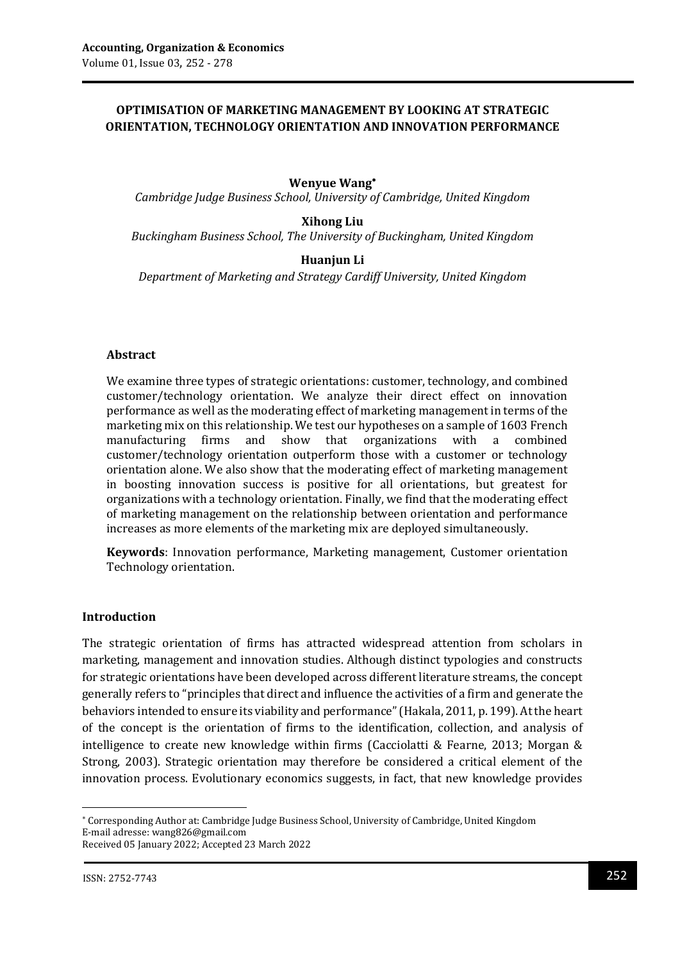# **OPTIMISATION OF MARKETING MANAGEMENT BY LOOKING AT STRATEGIC ORIENTATION, TECHNOLOGY ORIENTATION AND INNOVATION PERFORMANCE**

#### **Wenyue Wang**

*Cambridge Judge Business School, University of Cambridge, United Kingdom*

#### **Xihong Liu**

*Buckingham Business School, The University of Buckingham, United Kingdom*

## **Huanjun Li**

*Department of Marketing and Strategy Cardiff University, United Kingdom*

#### **Abstract**

We examine three types of strategic orientations: customer, technology, and combined customer/technology orientation. We analyze their direct effect on innovation performance as well as the moderating effect of marketing management in terms of the marketing mix on this relationship. We test our hypotheses on a sample of 1603 French manufacturing firms and show that organizations with a combined customer/technology orientation outperform those with a customer or technology orientation alone. We also show that the moderating effect of marketing management in boosting innovation success is positive for all orientations, but greatest for organizations with a technology orientation. Finally, we find that the moderating effect of marketing management on the relationship between orientation and performance increases as more elements of the marketing mix are deployed simultaneously.

**Keywords**: Innovation performance, Marketing management, Customer orientation Technology orientation.

#### **Introduction**

The strategic orientation of firms has attracted widespread attention from scholars in marketing, management and innovation studies. Although distinct typologies and constructs for strategic orientations have been developed across different literature streams, the concept generally refers to "principles that direct and influence the activities of a firm and generate the behaviors intended to ensure its viability and performance" (Hakala, 2011, p. 199). At the heart of the concept is the orientation of firms to the identification, collection, and analysis of intelligence to create new knowledge within firms (Cacciolatti & Fearne, 2013; Morgan & Strong, 2003). Strategic orientation may therefore be considered a critical element of the innovation process. Evolutionary economics suggests, in fact, that new knowledge provides

1

Corresponding Author at: Cambridge Judge Business School, University of Cambridge, United Kingdom E-mail adresse: wang826@gmail.com Received 05 January 2022; Accepted 23 March 2022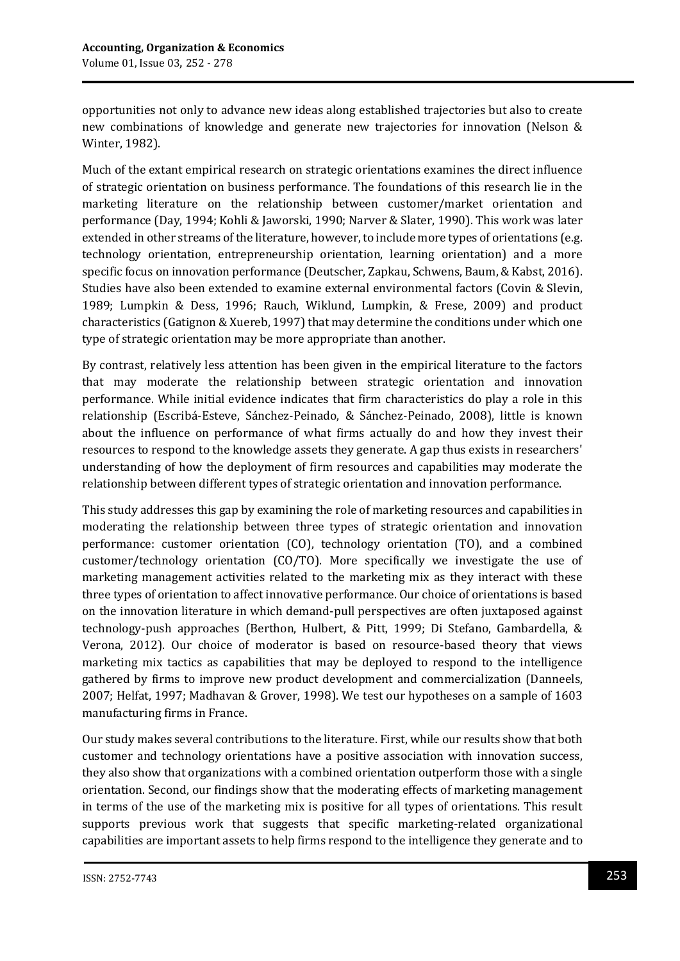opportunities not only to advance new ideas along established trajectories but also to create new combinations of knowledge and generate new trajectories for innovation (Nelson & Winter, 1982).

Much of the extant empirical research on strategic orientations examines the direct influence of strategic orientation on business performance. The foundations of this research lie in the marketing literature on the relationship between customer/market orientation and performance (Day, 1994; Kohli & Jaworski, 1990; Narver & Slater, 1990). This work was later extended in other streams of the literature, however, to include more types of orientations (e.g. technology orientation, entrepreneurship orientation, learning orientation) and a more specific focus on innovation performance (Deutscher, Zapkau, Schwens, Baum, & Kabst, 2016). Studies have also been extended to examine external environmental factors (Covin & Slevin, 1989; Lumpkin & Dess, 1996; Rauch, Wiklund, Lumpkin, & Frese, 2009) and product characteristics (Gatignon & Xuereb, 1997) that may determine the conditions under which one type of strategic orientation may be more appropriate than another.

By contrast, relatively less attention has been given in the empirical literature to the factors that may moderate the relationship between strategic orientation and innovation performance. While initial evidence indicates that firm characteristics do play a role in this relationship (Escribá-Esteve, Sánchez-Peinado, & Sánchez-Peinado, 2008), little is known about the influence on performance of what firms actually do and how they invest their resources to respond to the knowledge assets they generate. A gap thus exists in researchers' understanding of how the deployment of firm resources and capabilities may moderate the relationship between different types of strategic orientation and innovation performance.

This study addresses this gap by examining the role of marketing resources and capabilities in moderating the relationship between three types of strategic orientation and innovation performance: customer orientation (CO), technology orientation (TO), and a combined customer/technology orientation (CO/TO). More specifically we investigate the use of marketing management activities related to the marketing mix as they interact with these three types of orientation to affect innovative performance. Our choice of orientations is based on the innovation literature in which demand-pull perspectives are often juxtaposed against technology-push approaches (Berthon, Hulbert, & Pitt, 1999; Di Stefano, Gambardella, & Verona, 2012). Our choice of moderator is based on resource-based theory that views marketing mix tactics as capabilities that may be deployed to respond to the intelligence gathered by firms to improve new product development and commercialization (Danneels, 2007; Helfat, 1997; Madhavan & Grover, 1998). We test our hypotheses on a sample of 1603 manufacturing firms in France.

Our study makes several contributions to the literature. First, while our results show that both customer and technology orientations have a positive association with innovation success, they also show that organizations with a combined orientation outperform those with a single orientation. Second, our findings show that the moderating effects of marketing management in terms of the use of the marketing mix is positive for all types of orientations. This result supports previous work that suggests that specific marketing-related organizational capabilities are important assets to help firms respond to the intelligence they generate and to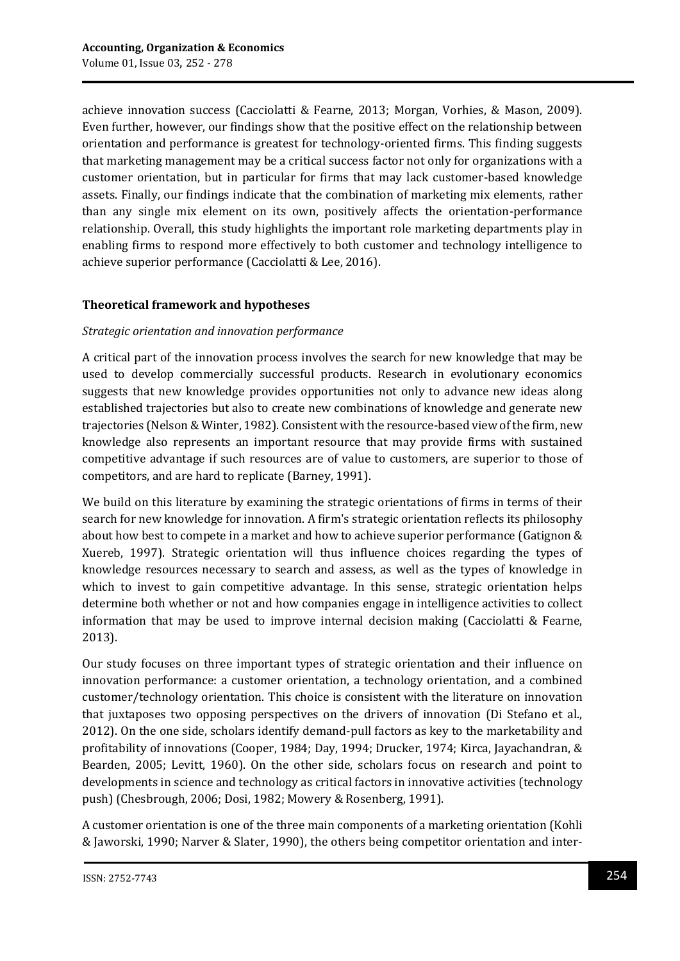achieve innovation success (Cacciolatti & Fearne, 2013; Morgan, Vorhies, & Mason, 2009). Even further, however, our findings show that the positive effect on the relationship between orientation and performance is greatest for technology-oriented firms. This finding suggests that marketing management may be a critical success factor not only for organizations with a customer orientation, but in particular for firms that may lack customer-based knowledge assets. Finally, our findings indicate that the combination of marketing mix elements, rather than any single mix element on its own, positively affects the orientation-performance relationship. Overall, this study highlights the important role marketing departments play in enabling firms to respond more effectively to both customer and technology intelligence to achieve superior performance (Cacciolatti & Lee, 2016).

# **Theoretical framework and hypotheses**

#### *Strategic orientation and innovation performance*

A critical part of the innovation process involves the search for new knowledge that may be used to develop commercially successful products. Research in evolutionary economics suggests that new knowledge provides opportunities not only to advance new ideas along established trajectories but also to create new combinations of knowledge and generate new trajectories (Nelson & Winter, 1982). Consistent with the resource-based view of the firm, new knowledge also represents an important resource that may provide firms with sustained competitive advantage if such resources are of value to customers, are superior to those of competitors, and are hard to replicate (Barney, 1991).

We build on this literature by examining the strategic orientations of firms in terms of their search for new knowledge for innovation. A firm's strategic orientation reflects its philosophy about how best to compete in a market and how to achieve superior performance (Gatignon & Xuereb, 1997). Strategic orientation will thus influence choices regarding the types of knowledge resources necessary to search and assess, as well as the types of knowledge in which to invest to gain competitive advantage. In this sense, strategic orientation helps determine both whether or not and how companies engage in intelligence activities to collect information that may be used to improve internal decision making (Cacciolatti & Fearne, 2013).

Our study focuses on three important types of strategic orientation and their influence on innovation performance: a customer orientation, a technology orientation, and a combined customer/technology orientation. This choice is consistent with the literature on innovation that juxtaposes two opposing perspectives on the drivers of innovation (Di Stefano et al., 2012). On the one side, scholars identify demand-pull factors as key to the marketability and profitability of innovations (Cooper, 1984; Day, 1994; Drucker, 1974; Kirca, Jayachandran, & Bearden, 2005; Levitt, 1960). On the other side, scholars focus on research and point to developments in science and technology as critical factors in innovative activities (technology push) (Chesbrough, 2006; Dosi, 1982; Mowery & Rosenberg, 1991).

A customer orientation is one of the three main components of a marketing orientation (Kohli & Jaworski, 1990; Narver & Slater, 1990), the others being competitor orientation and inter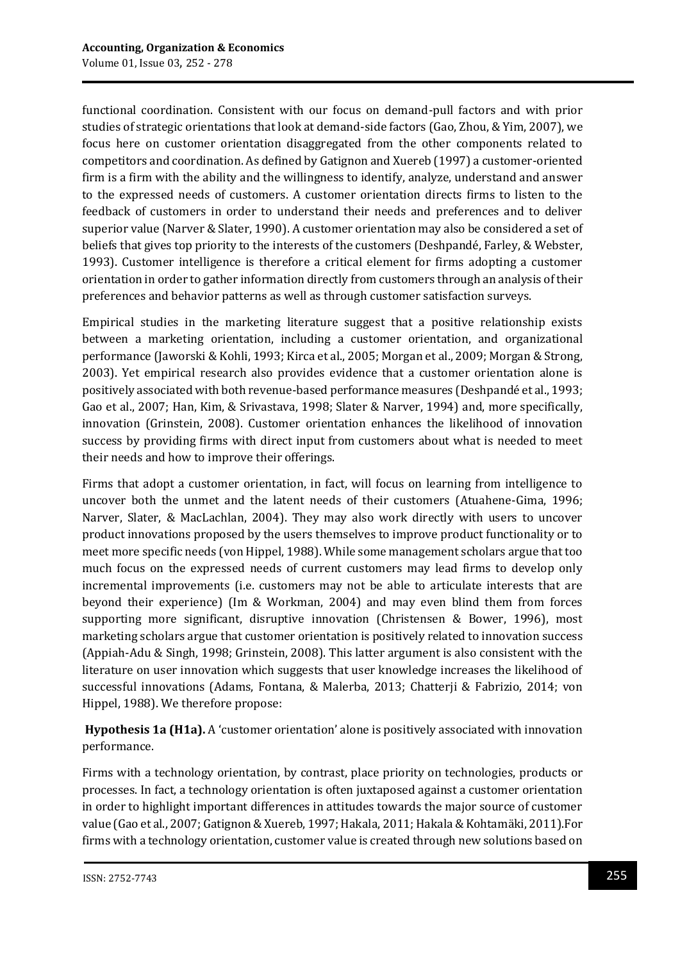functional coordination. Consistent with our focus on demand-pull factors and with prior studies of strategic orientations that look at demand-side factors (Gao, Zhou, & Yim, 2007), we focus here on customer orientation disaggregated from the other components related to competitors and coordination. As defined by Gatignon and Xuereb (1997) a customer-oriented firm is a firm with the ability and the willingness to identify, analyze, understand and answer to the expressed needs of customers. A customer orientation directs firms to listen to the feedback of customers in order to understand their needs and preferences and to deliver superior value (Narver & Slater, 1990). A customer orientation may also be considered a set of beliefs that gives top priority to the interests of the customers (Deshpandé, Farley, & Webster, 1993). Customer intelligence is therefore a critical element for firms adopting a customer orientation in order to gather information directly from customers through an analysis of their preferences and behavior patterns as well as through customer satisfaction surveys.

Empirical studies in the marketing literature suggest that a positive relationship exists between a marketing orientation, including a customer orientation, and organizational performance (Jaworski & Kohli, 1993; Kirca et al., 2005; Morgan et al., 2009; Morgan & Strong, 2003). Yet empirical research also provides evidence that a customer orientation alone is positively associated with both revenue-based performance measures (Deshpandé et al., 1993; Gao et al., 2007; Han, Kim, & Srivastava, 1998; Slater & Narver, 1994) and, more specifically, innovation (Grinstein, 2008). Customer orientation enhances the likelihood of innovation success by providing firms with direct input from customers about what is needed to meet their needs and how to improve their offerings.

Firms that adopt a customer orientation, in fact, will focus on learning from intelligence to uncover both the unmet and the latent needs of their customers (Atuahene-Gima, 1996; Narver, Slater, & MacLachlan, 2004). They may also work directly with users to uncover product innovations proposed by the users themselves to improve product functionality or to meet more specific needs (von Hippel, 1988). While some management scholars argue that too much focus on the expressed needs of current customers may lead firms to develop only incremental improvements (i.e. customers may not be able to articulate interests that are beyond their experience) (Im & Workman, 2004) and may even blind them from forces supporting more significant, disruptive innovation (Christensen & Bower, 1996), most marketing scholars argue that customer orientation is positively related to innovation success (Appiah-Adu & Singh, 1998; Grinstein, 2008). This latter argument is also consistent with the literature on user innovation which suggests that user knowledge increases the likelihood of successful innovations (Adams, Fontana, & Malerba, 2013; Chatterji & Fabrizio, 2014; von Hippel, 1988). We therefore propose:

**Hypothesis 1a (H1a).** A 'customer orientation' alone is positively associated with innovation performance.

Firms with a technology orientation, by contrast, place priority on technologies, products or processes. In fact, a technology orientation is often juxtaposed against a customer orientation in order to highlight important differences in attitudes towards the major source of customer value (Gao et al., 2007; Gatignon & Xuereb, 1997; Hakala, 2011; Hakala & Kohtamäki, 2011).For firms with a technology orientation, customer value is created through new solutions based on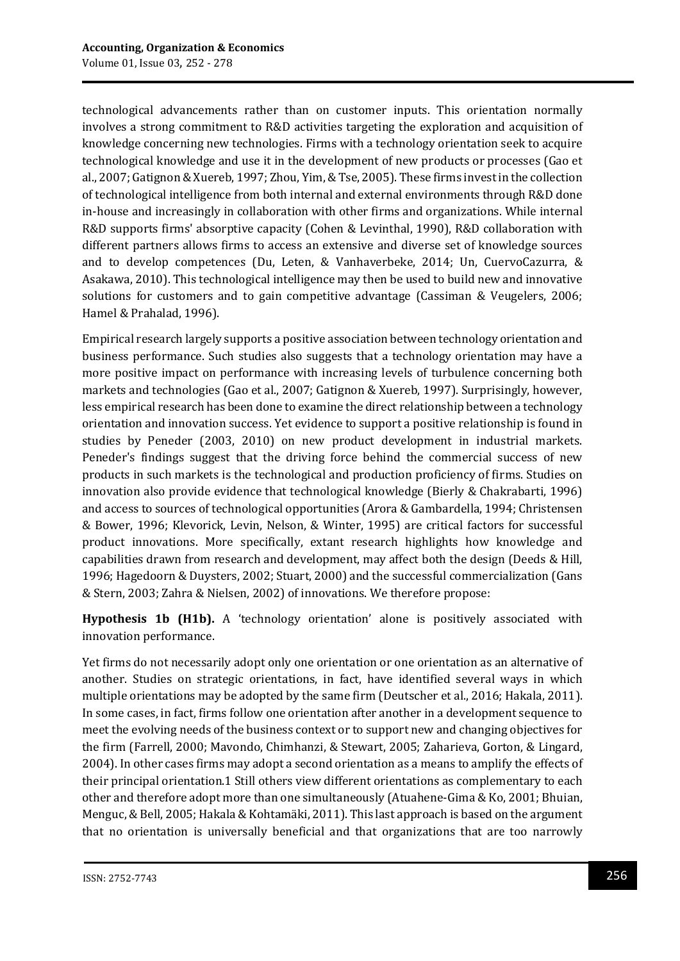technological advancements rather than on customer inputs. This orientation normally involves a strong commitment to R&D activities targeting the exploration and acquisition of knowledge concerning new technologies. Firms with a technology orientation seek to acquire technological knowledge and use it in the development of new products or processes (Gao et al., 2007; Gatignon & Xuereb, 1997; Zhou, Yim, & Tse, 2005). These firms invest in the collection of technological intelligence from both internal and external environments through R&D done in-house and increasingly in collaboration with other firms and organizations. While internal R&D supports firms' absorptive capacity (Cohen & Levinthal, 1990), R&D collaboration with different partners allows firms to access an extensive and diverse set of knowledge sources and to develop competences (Du, Leten, & Vanhaverbeke, 2014; Un, CuervoCazurra, & Asakawa, 2010). This technological intelligence may then be used to build new and innovative solutions for customers and to gain competitive advantage (Cassiman & Veugelers, 2006; Hamel & Prahalad, 1996).

Empirical research largely supports a positive association between technology orientation and business performance. Such studies also suggests that a technology orientation may have a more positive impact on performance with increasing levels of turbulence concerning both markets and technologies (Gao et al., 2007; Gatignon & Xuereb, 1997). Surprisingly, however, less empirical research has been done to examine the direct relationship between a technology orientation and innovation success. Yet evidence to support a positive relationship is found in studies by Peneder (2003, 2010) on new product development in industrial markets. Peneder's findings suggest that the driving force behind the commercial success of new products in such markets is the technological and production proficiency of firms. Studies on innovation also provide evidence that technological knowledge (Bierly & Chakrabarti, 1996) and access to sources of technological opportunities (Arora & Gambardella, 1994; Christensen & Bower, 1996; Klevorick, Levin, Nelson, & Winter, 1995) are critical factors for successful product innovations. More specifically, extant research highlights how knowledge and capabilities drawn from research and development, may affect both the design (Deeds & Hill, 1996; Hagedoorn & Duysters, 2002; Stuart, 2000) and the successful commercialization (Gans & Stern, 2003; Zahra & Nielsen, 2002) of innovations. We therefore propose:

**Hypothesis 1b (H1b).** A 'technology orientation' alone is positively associated with innovation performance.

Yet firms do not necessarily adopt only one orientation or one orientation as an alternative of another. Studies on strategic orientations, in fact, have identified several ways in which multiple orientations may be adopted by the same firm (Deutscher et al., 2016; Hakala, 2011). In some cases, in fact, firms follow one orientation after another in a development sequence to meet the evolving needs of the business context or to support new and changing objectives for the firm (Farrell, 2000; Mavondo, Chimhanzi, & Stewart, 2005; Zaharieva, Gorton, & Lingard, 2004). In other cases firms may adopt a second orientation as a means to amplify the effects of their principal orientation.1 Still others view different orientations as complementary to each other and therefore adopt more than one simultaneously (Atuahene-Gima & Ko, 2001; Bhuian, Menguc, & Bell, 2005; Hakala & Kohtamäki, 2011). This last approach is based on the argument that no orientation is universally beneficial and that organizations that are too narrowly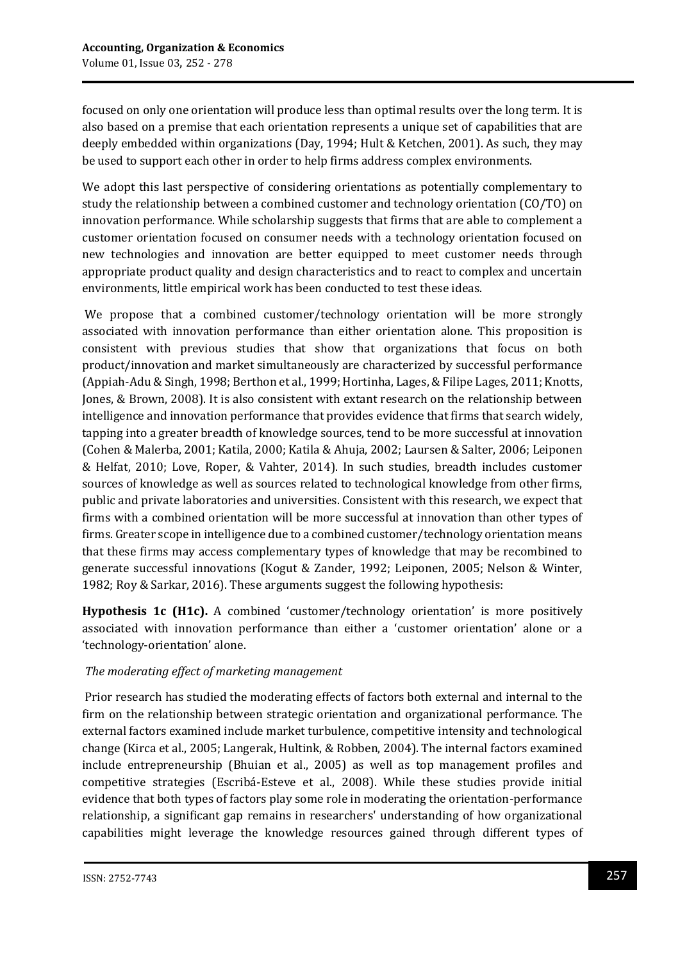focused on only one orientation will produce less than optimal results over the long term. It is also based on a premise that each orientation represents a unique set of capabilities that are deeply embedded within organizations (Day, 1994; Hult & Ketchen, 2001). As such, they may be used to support each other in order to help firms address complex environments.

We adopt this last perspective of considering orientations as potentially complementary to study the relationship between a combined customer and technology orientation (CO/TO) on innovation performance. While scholarship suggests that firms that are able to complement a customer orientation focused on consumer needs with a technology orientation focused on new technologies and innovation are better equipped to meet customer needs through appropriate product quality and design characteristics and to react to complex and uncertain environments, little empirical work has been conducted to test these ideas.

We propose that a combined customer/technology orientation will be more strongly associated with innovation performance than either orientation alone. This proposition is consistent with previous studies that show that organizations that focus on both product/innovation and market simultaneously are characterized by successful performance (Appiah-Adu & Singh, 1998; Berthon et al., 1999; Hortinha, Lages, & Filipe Lages, 2011; Knotts, Jones, & Brown, 2008). It is also consistent with extant research on the relationship between intelligence and innovation performance that provides evidence that firms that search widely, tapping into a greater breadth of knowledge sources, tend to be more successful at innovation (Cohen & Malerba, 2001; Katila, 2000; Katila & Ahuja, 2002; Laursen & Salter, 2006; Leiponen & Helfat, 2010; Love, Roper, & Vahter, 2014). In such studies, breadth includes customer sources of knowledge as well as sources related to technological knowledge from other firms, public and private laboratories and universities. Consistent with this research, we expect that firms with a combined orientation will be more successful at innovation than other types of firms. Greater scope in intelligence due to a combined customer/technology orientation means that these firms may access complementary types of knowledge that may be recombined to generate successful innovations (Kogut & Zander, 1992; Leiponen, 2005; Nelson & Winter, 1982; Roy & Sarkar, 2016). These arguments suggest the following hypothesis:

**Hypothesis 1c (H1c).** A combined 'customer/technology orientation' is more positively associated with innovation performance than either a 'customer orientation' alone or a 'technology-orientation' alone.

## *The moderating effect of marketing management*

Prior research has studied the moderating effects of factors both external and internal to the firm on the relationship between strategic orientation and organizational performance. The external factors examined include market turbulence, competitive intensity and technological change (Kirca et al., 2005; Langerak, Hultink, & Robben, 2004). The internal factors examined include entrepreneurship (Bhuian et al., 2005) as well as top management profiles and competitive strategies (Escribá-Esteve et al., 2008). While these studies provide initial evidence that both types of factors play some role in moderating the orientation-performance relationship, a significant gap remains in researchers' understanding of how organizational capabilities might leverage the knowledge resources gained through different types of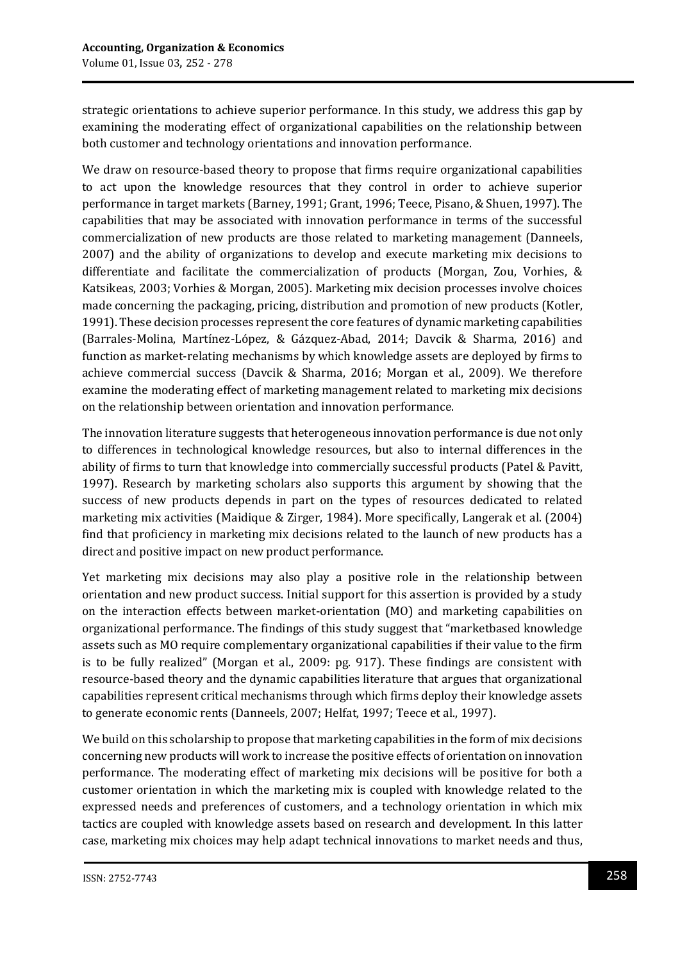strategic orientations to achieve superior performance. In this study, we address this gap by examining the moderating effect of organizational capabilities on the relationship between both customer and technology orientations and innovation performance.

We draw on resource-based theory to propose that firms require organizational capabilities to act upon the knowledge resources that they control in order to achieve superior performance in target markets (Barney, 1991; Grant, 1996; Teece, Pisano, & Shuen, 1997). The capabilities that may be associated with innovation performance in terms of the successful commercialization of new products are those related to marketing management (Danneels, 2007) and the ability of organizations to develop and execute marketing mix decisions to differentiate and facilitate the commercialization of products (Morgan, Zou, Vorhies, & Katsikeas, 2003; Vorhies & Morgan, 2005). Marketing mix decision processes involve choices made concerning the packaging, pricing, distribution and promotion of new products (Kotler, 1991). These decision processes represent the core features of dynamic marketing capabilities (Barrales-Molina, Martínez-López, & Gázquez-Abad, 2014; Davcik & Sharma, 2016) and function as market-relating mechanisms by which knowledge assets are deployed by firms to achieve commercial success (Davcik & Sharma, 2016; Morgan et al., 2009). We therefore examine the moderating effect of marketing management related to marketing mix decisions on the relationship between orientation and innovation performance.

The innovation literature suggests that heterogeneous innovation performance is due not only to differences in technological knowledge resources, but also to internal differences in the ability of firms to turn that knowledge into commercially successful products (Patel & Pavitt, 1997). Research by marketing scholars also supports this argument by showing that the success of new products depends in part on the types of resources dedicated to related marketing mix activities (Maidique & Zirger, 1984). More specifically, Langerak et al. (2004) find that proficiency in marketing mix decisions related to the launch of new products has a direct and positive impact on new product performance.

Yet marketing mix decisions may also play a positive role in the relationship between orientation and new product success. Initial support for this assertion is provided by a study on the interaction effects between market-orientation (MO) and marketing capabilities on organizational performance. The findings of this study suggest that "marketbased knowledge assets such as MO require complementary organizational capabilities if their value to the firm is to be fully realized" (Morgan et al., 2009: pg. 917). These findings are consistent with resource-based theory and the dynamic capabilities literature that argues that organizational capabilities represent critical mechanisms through which firms deploy their knowledge assets to generate economic rents (Danneels, 2007; Helfat, 1997; Teece et al., 1997).

We build on this scholarship to propose that marketing capabilities in the form of mix decisions concerning new products will work to increase the positive effects of orientation on innovation performance. The moderating effect of marketing mix decisions will be positive for both a customer orientation in which the marketing mix is coupled with knowledge related to the expressed needs and preferences of customers, and a technology orientation in which mix tactics are coupled with knowledge assets based on research and development. In this latter case, marketing mix choices may help adapt technical innovations to market needs and thus,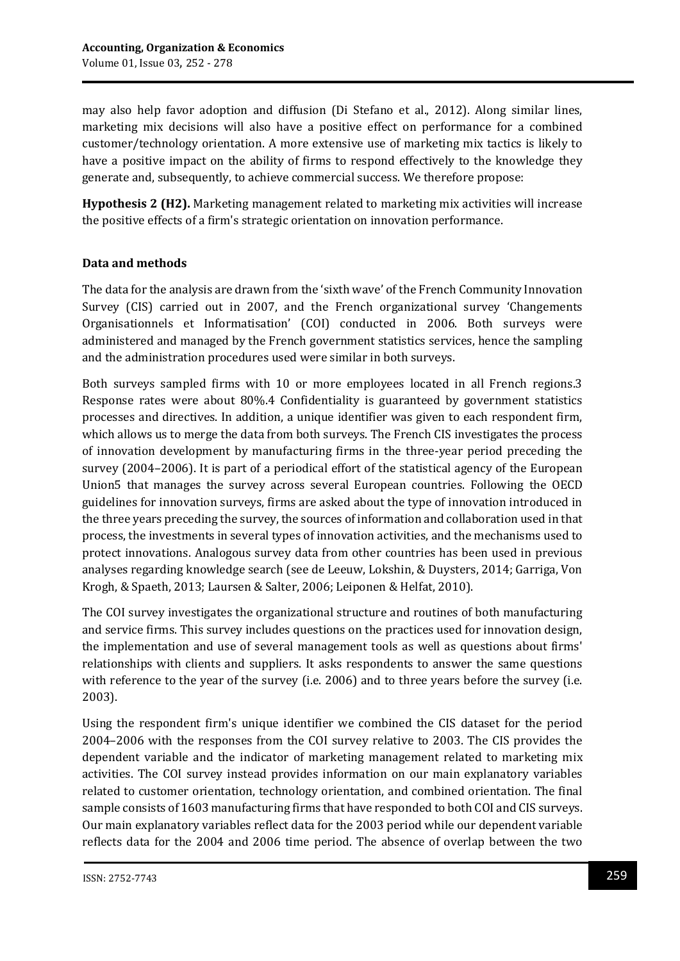may also help favor adoption and diffusion (Di Stefano et al., 2012). Along similar lines, marketing mix decisions will also have a positive effect on performance for a combined customer/technology orientation. A more extensive use of marketing mix tactics is likely to have a positive impact on the ability of firms to respond effectively to the knowledge they generate and, subsequently, to achieve commercial success. We therefore propose:

**Hypothesis 2 (H2).** Marketing management related to marketing mix activities will increase the positive effects of a firm's strategic orientation on innovation performance.

# **Data and methods**

The data for the analysis are drawn from the 'sixth wave' of the French Community Innovation Survey (CIS) carried out in 2007, and the French organizational survey 'Changements Organisationnels et Informatisation' (COI) conducted in 2006. Both surveys were administered and managed by the French government statistics services, hence the sampling and the administration procedures used were similar in both surveys.

Both surveys sampled firms with 10 or more employees located in all French regions.3 Response rates were about 80%.4 Confidentiality is guaranteed by government statistics processes and directives. In addition, a unique identifier was given to each respondent firm, which allows us to merge the data from both surveys. The French CIS investigates the process of innovation development by manufacturing firms in the three-year period preceding the survey (2004–2006). It is part of a periodical effort of the statistical agency of the European Union5 that manages the survey across several European countries. Following the OECD guidelines for innovation surveys, firms are asked about the type of innovation introduced in the three years preceding the survey, the sources of information and collaboration used in that process, the investments in several types of innovation activities, and the mechanisms used to protect innovations. Analogous survey data from other countries has been used in previous analyses regarding knowledge search (see de Leeuw, Lokshin, & Duysters, 2014; Garriga, Von Krogh, & Spaeth, 2013; Laursen & Salter, 2006; Leiponen & Helfat, 2010).

The COI survey investigates the organizational structure and routines of both manufacturing and service firms. This survey includes questions on the practices used for innovation design, the implementation and use of several management tools as well as questions about firms' relationships with clients and suppliers. It asks respondents to answer the same questions with reference to the year of the survey (i.e. 2006) and to three years before the survey (i.e. 2003).

Using the respondent firm's unique identifier we combined the CIS dataset for the period 2004–2006 with the responses from the COI survey relative to 2003. The CIS provides the dependent variable and the indicator of marketing management related to marketing mix activities. The COI survey instead provides information on our main explanatory variables related to customer orientation, technology orientation, and combined orientation. The final sample consists of 1603 manufacturing firms that have responded to both COI and CIS surveys. Our main explanatory variables reflect data for the 2003 period while our dependent variable reflects data for the 2004 and 2006 time period. The absence of overlap between the two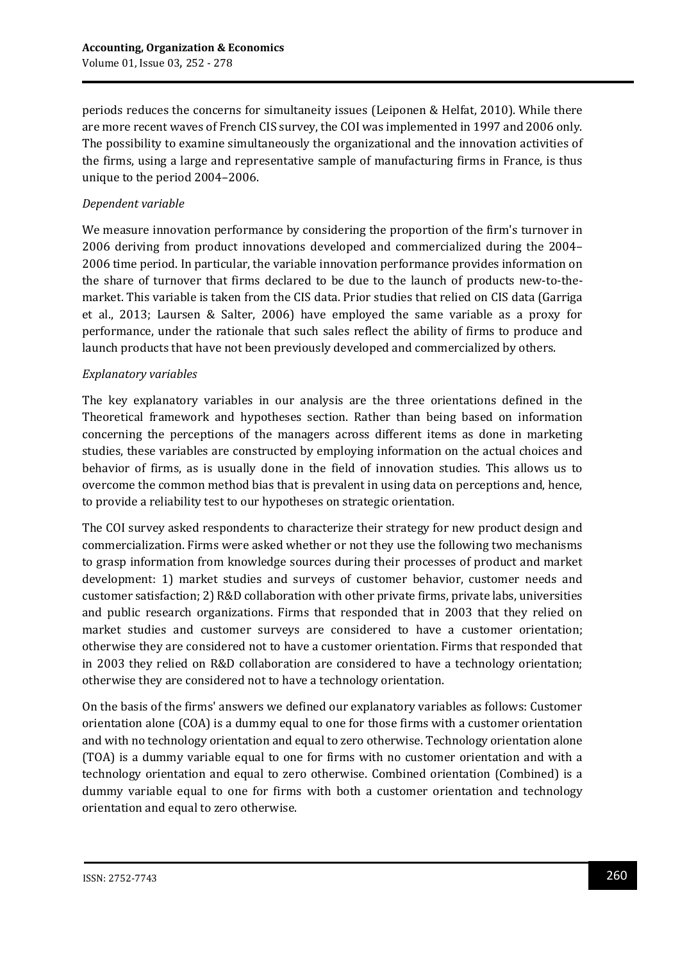periods reduces the concerns for simultaneity issues (Leiponen & Helfat, 2010). While there are more recent waves of French CIS survey, the COI was implemented in 1997 and 2006 only. The possibility to examine simultaneously the organizational and the innovation activities of the firms, using a large and representative sample of manufacturing firms in France, is thus unique to the period 2004–2006.

# *Dependent variable*

We measure innovation performance by considering the proportion of the firm's turnover in 2006 deriving from product innovations developed and commercialized during the 2004– 2006 time period. In particular, the variable innovation performance provides information on the share of turnover that firms declared to be due to the launch of products new-to-themarket. This variable is taken from the CIS data. Prior studies that relied on CIS data (Garriga et al., 2013; Laursen & Salter, 2006) have employed the same variable as a proxy for performance, under the rationale that such sales reflect the ability of firms to produce and launch products that have not been previously developed and commercialized by others.

## *Explanatory variables*

The key explanatory variables in our analysis are the three orientations defined in the Theoretical framework and hypotheses section. Rather than being based on information concerning the perceptions of the managers across different items as done in marketing studies, these variables are constructed by employing information on the actual choices and behavior of firms, as is usually done in the field of innovation studies. This allows us to overcome the common method bias that is prevalent in using data on perceptions and, hence, to provide a reliability test to our hypotheses on strategic orientation.

The COI survey asked respondents to characterize their strategy for new product design and commercialization. Firms were asked whether or not they use the following two mechanisms to grasp information from knowledge sources during their processes of product and market development: 1) market studies and surveys of customer behavior, customer needs and customer satisfaction; 2) R&D collaboration with other private firms, private labs, universities and public research organizations. Firms that responded that in 2003 that they relied on market studies and customer surveys are considered to have a customer orientation; otherwise they are considered not to have a customer orientation. Firms that responded that in 2003 they relied on R&D collaboration are considered to have a technology orientation; otherwise they are considered not to have a technology orientation.

On the basis of the firms' answers we defined our explanatory variables as follows: Customer orientation alone (COA) is a dummy equal to one for those firms with a customer orientation and with no technology orientation and equal to zero otherwise. Technology orientation alone (TOA) is a dummy variable equal to one for firms with no customer orientation and with a technology orientation and equal to zero otherwise. Combined orientation (Combined) is a dummy variable equal to one for firms with both a customer orientation and technology orientation and equal to zero otherwise.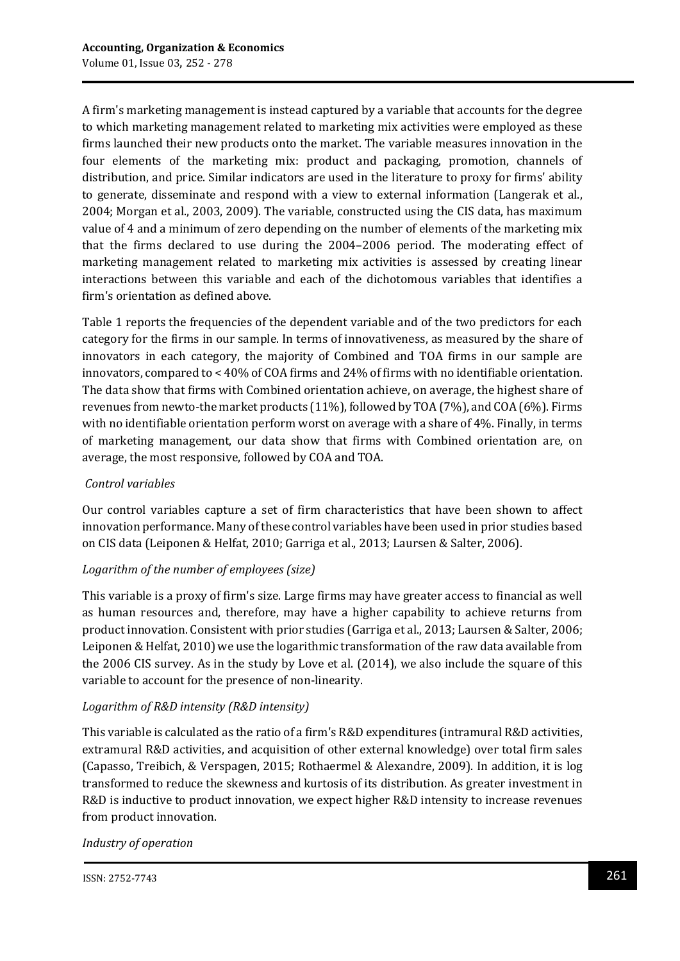A firm's marketing management is instead captured by a variable that accounts for the degree to which marketing management related to marketing mix activities were employed as these firms launched their new products onto the market. The variable measures innovation in the four elements of the marketing mix: product and packaging, promotion, channels of distribution, and price. Similar indicators are used in the literature to proxy for firms' ability to generate, disseminate and respond with a view to external information (Langerak et al., 2004; Morgan et al., 2003, 2009). The variable, constructed using the CIS data, has maximum value of 4 and a minimum of zero depending on the number of elements of the marketing mix that the firms declared to use during the 2004–2006 period. The moderating effect of marketing management related to marketing mix activities is assessed by creating linear interactions between this variable and each of the dichotomous variables that identifies a firm's orientation as defined above.

Table 1 reports the frequencies of the dependent variable and of the two predictors for each category for the firms in our sample. In terms of innovativeness, as measured by the share of innovators in each category, the majority of Combined and TOA firms in our sample are innovators, compared to < 40% of COA firms and 24% of firms with no identifiable orientation. The data show that firms with Combined orientation achieve, on average, the highest share of revenues from newto-the market products (11%), followed by TOA (7%), and COA (6%). Firms with no identifiable orientation perform worst on average with a share of 4%. Finally, in terms of marketing management, our data show that firms with Combined orientation are, on average, the most responsive, followed by COA and TOA.

## *Control variables*

Our control variables capture a set of firm characteristics that have been shown to affect innovation performance. Many of these control variables have been used in prior studies based on CIS data (Leiponen & Helfat, 2010; Garriga et al., 2013; Laursen & Salter, 2006).

## *Logarithm of the number of employees (size)*

This variable is a proxy of firm's size. Large firms may have greater access to financial as well as human resources and, therefore, may have a higher capability to achieve returns from product innovation. Consistent with prior studies (Garriga et al., 2013; Laursen & Salter, 2006; Leiponen & Helfat, 2010) we use the logarithmic transformation of the raw data available from the 2006 CIS survey. As in the study by Love et al. (2014), we also include the square of this variable to account for the presence of non-linearity.

## *Logarithm of R&D intensity (R&D intensity)*

This variable is calculated as the ratio of a firm's R&D expenditures (intramural R&D activities, extramural R&D activities, and acquisition of other external knowledge) over total firm sales (Capasso, Treibich, & Verspagen, 2015; Rothaermel & Alexandre, 2009). In addition, it is log transformed to reduce the skewness and kurtosis of its distribution. As greater investment in R&D is inductive to product innovation, we expect higher R&D intensity to increase revenues from product innovation.

## *Industry of operation*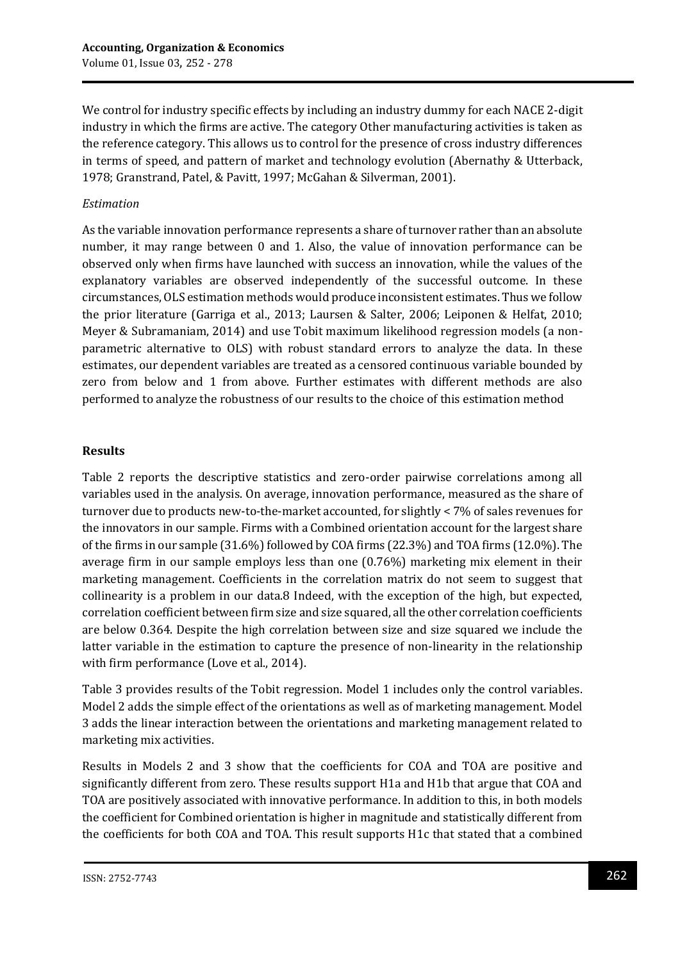We control for industry specific effects by including an industry dummy for each NACE 2-digit industry in which the firms are active. The category Other manufacturing activities is taken as the reference category. This allows us to control for the presence of cross industry differences in terms of speed, and pattern of market and technology evolution (Abernathy & Utterback, 1978; Granstrand, Patel, & Pavitt, 1997; McGahan & Silverman, 2001).

# *Estimation*

As the variable innovation performance represents a share of turnover rather than an absolute number, it may range between 0 and 1. Also, the value of innovation performance can be observed only when firms have launched with success an innovation, while the values of the explanatory variables are observed independently of the successful outcome. In these circumstances, OLS estimation methods would produce inconsistent estimates. Thus we follow the prior literature (Garriga et al., 2013; Laursen & Salter, 2006; Leiponen & Helfat, 2010; Meyer & Subramaniam, 2014) and use Tobit maximum likelihood regression models (a nonparametric alternative to OLS) with robust standard errors to analyze the data. In these estimates, our dependent variables are treated as a censored continuous variable bounded by zero from below and 1 from above. Further estimates with different methods are also performed to analyze the robustness of our results to the choice of this estimation method

# **Results**

Table 2 reports the descriptive statistics and zero-order pairwise correlations among all variables used in the analysis. On average, innovation performance, measured as the share of turnover due to products new-to-the-market accounted, for slightly < 7% of sales revenues for the innovators in our sample. Firms with a Combined orientation account for the largest share of the firms in our sample (31.6%) followed by COA firms (22.3%) and TOA firms (12.0%). The average firm in our sample employs less than one (0.76%) marketing mix element in their marketing management. Coefficients in the correlation matrix do not seem to suggest that collinearity is a problem in our data.8 Indeed, with the exception of the high, but expected, correlation coefficient between firm size and size squared, all the other correlation coefficients are below 0.364. Despite the high correlation between size and size squared we include the latter variable in the estimation to capture the presence of non-linearity in the relationship with firm performance (Love et al., 2014).

Table 3 provides results of the Tobit regression. Model 1 includes only the control variables. Model 2 adds the simple effect of the orientations as well as of marketing management. Model 3 adds the linear interaction between the orientations and marketing management related to marketing mix activities.

Results in Models 2 and 3 show that the coefficients for COA and TOA are positive and significantly different from zero. These results support H1a and H1b that argue that COA and TOA are positively associated with innovative performance. In addition to this, in both models the coefficient for Combined orientation is higher in magnitude and statistically different from the coefficients for both COA and TOA. This result supports H1c that stated that a combined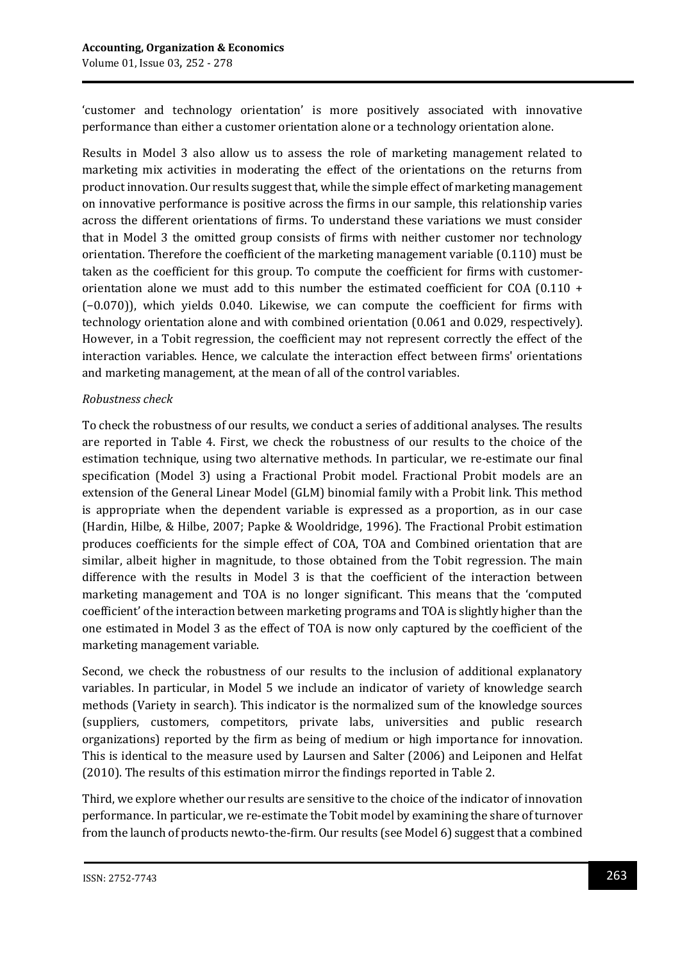'customer and technology orientation' is more positively associated with innovative performance than either a customer orientation alone or a technology orientation alone.

Results in Model 3 also allow us to assess the role of marketing management related to marketing mix activities in moderating the effect of the orientations on the returns from product innovation. Our results suggest that, while the simple effect of marketing management on innovative performance is positive across the firms in our sample, this relationship varies across the different orientations of firms. To understand these variations we must consider that in Model 3 the omitted group consists of firms with neither customer nor technology orientation. Therefore the coefficient of the marketing management variable (0.110) must be taken as the coefficient for this group. To compute the coefficient for firms with customerorientation alone we must add to this number the estimated coefficient for COA (0.110 + (−0.070)), which yields 0.040. Likewise, we can compute the coefficient for firms with technology orientation alone and with combined orientation (0.061 and 0.029, respectively). However, in a Tobit regression, the coefficient may not represent correctly the effect of the interaction variables. Hence, we calculate the interaction effect between firms' orientations and marketing management, at the mean of all of the control variables.

# *Robustness check*

To check the robustness of our results, we conduct a series of additional analyses. The results are reported in Table 4. First, we check the robustness of our results to the choice of the estimation technique, using two alternative methods. In particular, we re-estimate our final specification (Model 3) using a Fractional Probit model. Fractional Probit models are an extension of the General Linear Model (GLM) binomial family with a Probit link. This method is appropriate when the dependent variable is expressed as a proportion, as in our case (Hardin, Hilbe, & Hilbe, 2007; Papke & Wooldridge, 1996). The Fractional Probit estimation produces coefficients for the simple effect of COA, TOA and Combined orientation that are similar, albeit higher in magnitude, to those obtained from the Tobit regression. The main difference with the results in Model 3 is that the coefficient of the interaction between marketing management and TOA is no longer significant. This means that the 'computed coefficient' of the interaction between marketing programs and TOA is slightly higher than the one estimated in Model 3 as the effect of TOA is now only captured by the coefficient of the marketing management variable.

Second, we check the robustness of our results to the inclusion of additional explanatory variables. In particular, in Model 5 we include an indicator of variety of knowledge search methods (Variety in search). This indicator is the normalized sum of the knowledge sources (suppliers, customers, competitors, private labs, universities and public research organizations) reported by the firm as being of medium or high importance for innovation. This is identical to the measure used by Laursen and Salter (2006) and Leiponen and Helfat (2010). The results of this estimation mirror the findings reported in Table 2.

Third, we explore whether our results are sensitive to the choice of the indicator of innovation performance. In particular, we re-estimate the Tobit model by examining the share of turnover from the launch of products newto-the-firm. Our results (see Model 6) suggest that a combined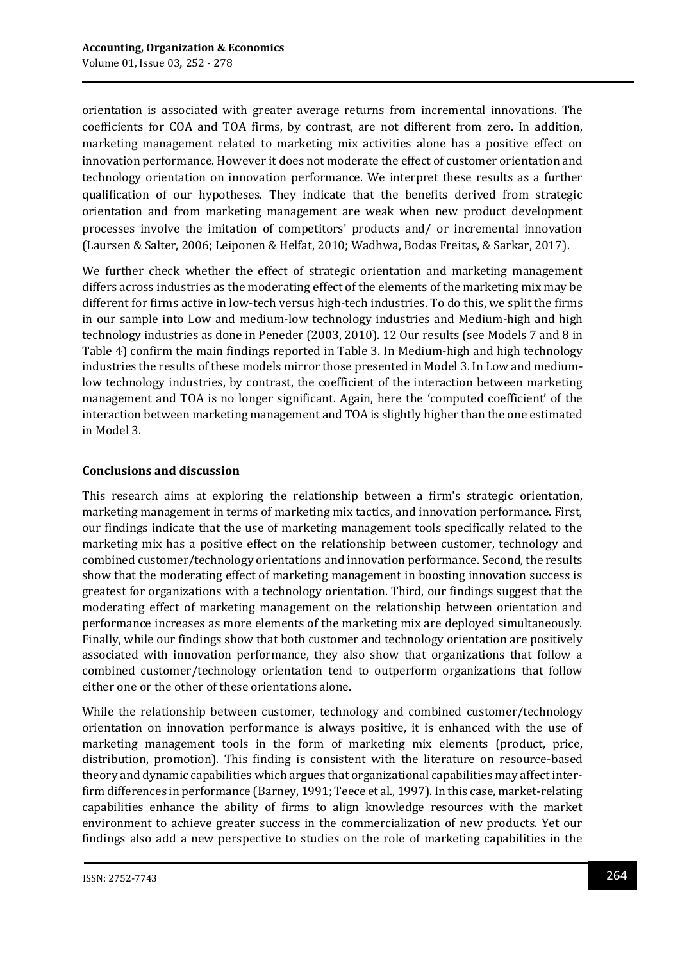orientation is associated with greater average returns from incremental innovations. The coefficients for COA and TOA firms, by contrast, are not different from zero. In addition, marketing management related to marketing mix activities alone has a positive effect on innovation performance. However it does not moderate the effect of customer orientation and technology orientation on innovation performance. We interpret these results as a further qualification of our hypotheses. They indicate that the benefits derived from strategic orientation and from marketing management are weak when new product development processes involve the imitation of competitors' products and/ or incremental innovation (Laursen & Salter, 2006; Leiponen & Helfat, 2010; Wadhwa, Bodas Freitas, & Sarkar, 2017).

We further check whether the effect of strategic orientation and marketing management differs across industries as the moderating effect of the elements of the marketing mix may be different for firms active in low-tech versus high-tech industries. To do this, we split the firms in our sample into Low and medium-low technology industries and Medium-high and high technology industries as done in Peneder (2003, 2010). 12 Our results (see Models 7 and 8 in Table 4) confirm the main findings reported in Table 3. In Medium-high and high technology industries the results of these models mirror those presented in Model 3. In Low and mediumlow technology industries, by contrast, the coefficient of the interaction between marketing management and TOA is no longer significant. Again, here the 'computed coefficient' of the interaction between marketing management and TOA is slightly higher than the one estimated in Model 3.

## **Conclusions and discussion**

This research aims at exploring the relationship between a firm's strategic orientation, marketing management in terms of marketing mix tactics, and innovation performance. First, our findings indicate that the use of marketing management tools specifically related to the marketing mix has a positive effect on the relationship between customer, technology and combined customer/technology orientations and innovation performance. Second, the results show that the moderating effect of marketing management in boosting innovation success is greatest for organizations with a technology orientation. Third, our findings suggest that the moderating effect of marketing management on the relationship between orientation and performance increases as more elements of the marketing mix are deployed simultaneously. Finally, while our findings show that both customer and technology orientation are positively associated with innovation performance, they also show that organizations that follow a combined customer/technology orientation tend to outperform organizations that follow either one or the other of these orientations alone.

While the relationship between customer, technology and combined customer/technology orientation on innovation performance is always positive, it is enhanced with the use of marketing management tools in the form of marketing mix elements (product, price, distribution, promotion). This finding is consistent with the literature on resource-based theory and dynamic capabilities which argues that organizational capabilities may affect interfirm differences in performance (Barney, 1991; Teece et al., 1997). In this case, market-relating capabilities enhance the ability of firms to align knowledge resources with the market environment to achieve greater success in the commercialization of new products. Yet our findings also add a new perspective to studies on the role of marketing capabilities in the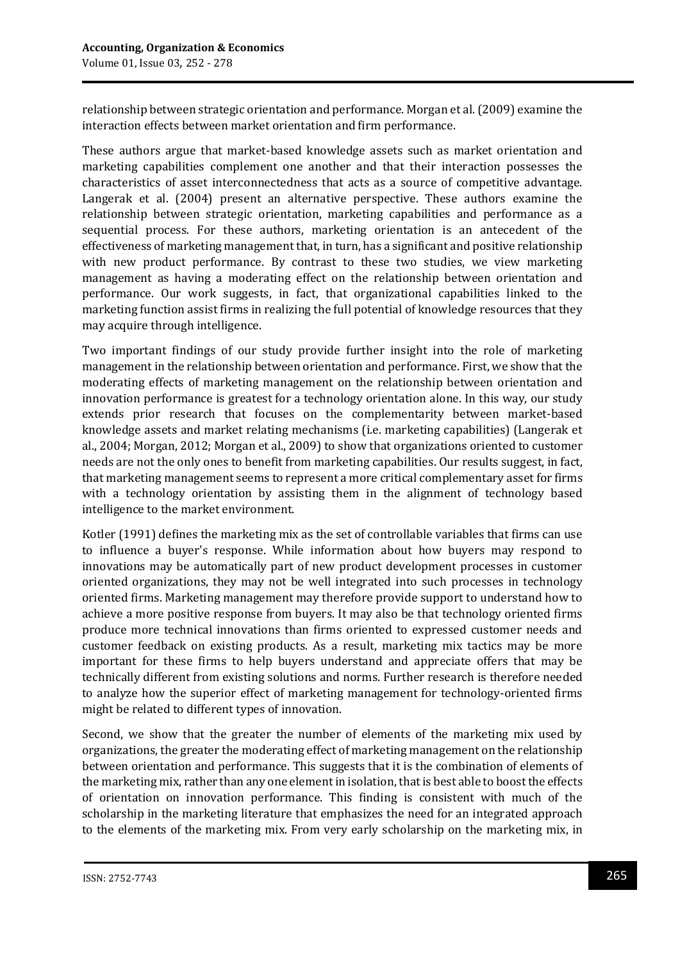relationship between strategic orientation and performance. Morgan et al. (2009) examine the interaction effects between market orientation and firm performance.

These authors argue that market-based knowledge assets such as market orientation and marketing capabilities complement one another and that their interaction possesses the characteristics of asset interconnectedness that acts as a source of competitive advantage. Langerak et al. (2004) present an alternative perspective. These authors examine the relationship between strategic orientation, marketing capabilities and performance as a sequential process. For these authors, marketing orientation is an antecedent of the effectiveness of marketing management that, in turn, has a significant and positive relationship with new product performance. By contrast to these two studies, we view marketing management as having a moderating effect on the relationship between orientation and performance. Our work suggests, in fact, that organizational capabilities linked to the marketing function assist firms in realizing the full potential of knowledge resources that they may acquire through intelligence.

Two important findings of our study provide further insight into the role of marketing management in the relationship between orientation and performance. First, we show that the moderating effects of marketing management on the relationship between orientation and innovation performance is greatest for a technology orientation alone. In this way, our study extends prior research that focuses on the complementarity between market-based knowledge assets and market relating mechanisms (i.e. marketing capabilities) (Langerak et al., 2004; Morgan, 2012; Morgan et al., 2009) to show that organizations oriented to customer needs are not the only ones to benefit from marketing capabilities. Our results suggest, in fact, that marketing management seems to represent a more critical complementary asset for firms with a technology orientation by assisting them in the alignment of technology based intelligence to the market environment.

Kotler (1991) defines the marketing mix as the set of controllable variables that firms can use to influence a buyer's response. While information about how buyers may respond to innovations may be automatically part of new product development processes in customer oriented organizations, they may not be well integrated into such processes in technology oriented firms. Marketing management may therefore provide support to understand how to achieve a more positive response from buyers. It may also be that technology oriented firms produce more technical innovations than firms oriented to expressed customer needs and customer feedback on existing products. As a result, marketing mix tactics may be more important for these firms to help buyers understand and appreciate offers that may be technically different from existing solutions and norms. Further research is therefore needed to analyze how the superior effect of marketing management for technology-oriented firms might be related to different types of innovation.

Second, we show that the greater the number of elements of the marketing mix used by organizations, the greater the moderating effect of marketing management on the relationship between orientation and performance. This suggests that it is the combination of elements of the marketing mix, rather than any one element in isolation, that is best able to boost the effects of orientation on innovation performance. This finding is consistent with much of the scholarship in the marketing literature that emphasizes the need for an integrated approach to the elements of the marketing mix. From very early scholarship on the marketing mix, in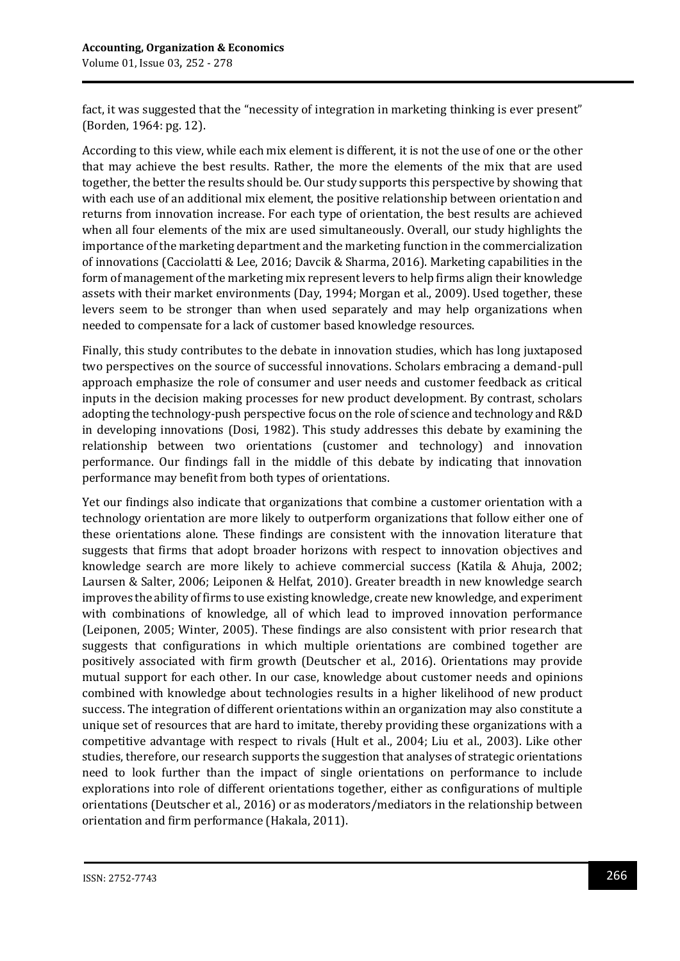fact, it was suggested that the "necessity of integration in marketing thinking is ever present" (Borden, 1964: pg. 12).

According to this view, while each mix element is different, it is not the use of one or the other that may achieve the best results. Rather, the more the elements of the mix that are used together, the better the results should be. Our study supports this perspective by showing that with each use of an additional mix element, the positive relationship between orientation and returns from innovation increase. For each type of orientation, the best results are achieved when all four elements of the mix are used simultaneously. Overall, our study highlights the importance of the marketing department and the marketing function in the commercialization of innovations (Cacciolatti & Lee, 2016; Davcik & Sharma, 2016). Marketing capabilities in the form of management of the marketing mix represent levers to help firms align their knowledge assets with their market environments (Day, 1994; Morgan et al., 2009). Used together, these levers seem to be stronger than when used separately and may help organizations when needed to compensate for a lack of customer based knowledge resources.

Finally, this study contributes to the debate in innovation studies, which has long juxtaposed two perspectives on the source of successful innovations. Scholars embracing a demand-pull approach emphasize the role of consumer and user needs and customer feedback as critical inputs in the decision making processes for new product development. By contrast, scholars adopting the technology-push perspective focus on the role of science and technology and R&D in developing innovations (Dosi, 1982). This study addresses this debate by examining the relationship between two orientations (customer and technology) and innovation performance. Our findings fall in the middle of this debate by indicating that innovation performance may benefit from both types of orientations.

Yet our findings also indicate that organizations that combine a customer orientation with a technology orientation are more likely to outperform organizations that follow either one of these orientations alone. These findings are consistent with the innovation literature that suggests that firms that adopt broader horizons with respect to innovation objectives and knowledge search are more likely to achieve commercial success (Katila & Ahuja, 2002; Laursen & Salter, 2006; Leiponen & Helfat, 2010). Greater breadth in new knowledge search improves the ability of firms to use existing knowledge, create new knowledge, and experiment with combinations of knowledge, all of which lead to improved innovation performance (Leiponen, 2005; Winter, 2005). These findings are also consistent with prior research that suggests that configurations in which multiple orientations are combined together are positively associated with firm growth (Deutscher et al., 2016). Orientations may provide mutual support for each other. In our case, knowledge about customer needs and opinions combined with knowledge about technologies results in a higher likelihood of new product success. The integration of different orientations within an organization may also constitute a unique set of resources that are hard to imitate, thereby providing these organizations with a competitive advantage with respect to rivals (Hult et al., 2004; Liu et al., 2003). Like other studies, therefore, our research supports the suggestion that analyses of strategic orientations need to look further than the impact of single orientations on performance to include explorations into role of different orientations together, either as configurations of multiple orientations (Deutscher et al., 2016) or as moderators/mediators in the relationship between orientation and firm performance (Hakala, 2011).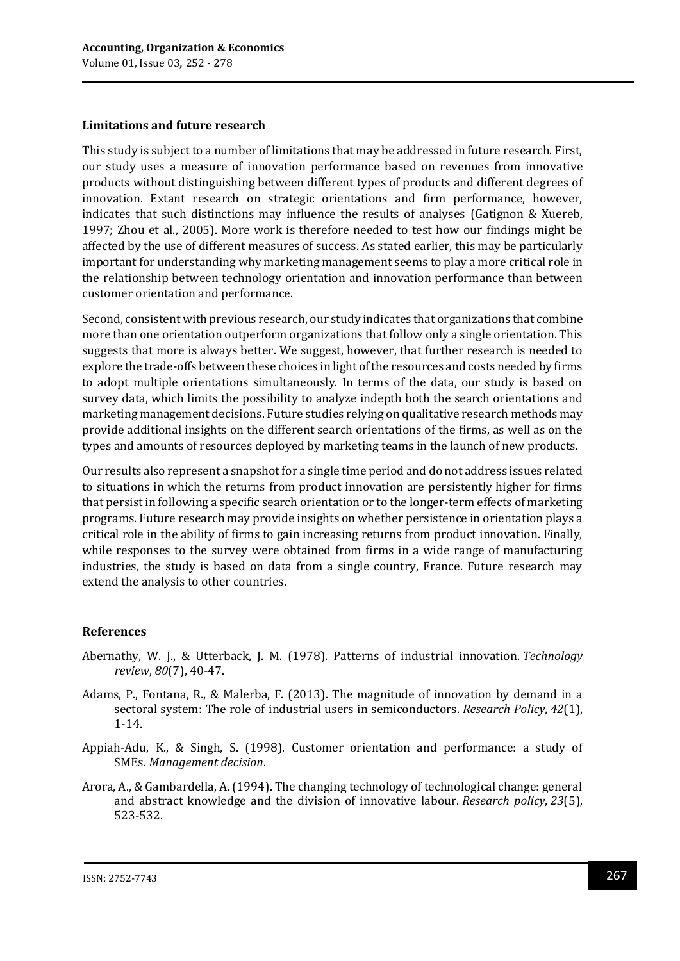#### **Limitations and future research**

This study is subject to a number of limitations that may be addressed in future research. First, our study uses a measure of innovation performance based on revenues from innovative products without distinguishing between different types of products and different degrees of innovation. Extant research on strategic orientations and firm performance, however, indicates that such distinctions may influence the results of analyses (Gatignon & Xuereb, 1997; Zhou et al., 2005). More work is therefore needed to test how our findings might be affected by the use of different measures of success. As stated earlier, this may be particularly important for understanding why marketing management seems to play a more critical role in the relationship between technology orientation and innovation performance than between customer orientation and performance.

Second, consistent with previous research, our study indicates that organizations that combine more than one orientation outperform organizations that follow only a single orientation. This suggests that more is always better. We suggest, however, that further research is needed to explore the trade-offs between these choices in light of the resources and costs needed by firms to adopt multiple orientations simultaneously. In terms of the data, our study is based on survey data, which limits the possibility to analyze indepth both the search orientations and marketing management decisions. Future studies relying on qualitative research methods may provide additional insights on the different search orientations of the firms, as well as on the types and amounts of resources deployed by marketing teams in the launch of new products.

Our results also represent a snapshot for a single time period and do not address issues related to situations in which the returns from product innovation are persistently higher for firms that persist in following a specific search orientation or to the longer-term effects of marketing programs. Future research may provide insights on whether persistence in orientation plays a critical role in the ability of firms to gain increasing returns from product innovation. Finally, while responses to the survey were obtained from firms in a wide range of manufacturing industries, the study is based on data from a single country, France. Future research may extend the analysis to other countries.

## **References**

- Abernathy, W. J., & Utterback, J. M. (1978). Patterns of industrial innovation. *Technology review*, *80*(7), 40-47.
- Adams, P., Fontana, R., & Malerba, F. (2013). The magnitude of innovation by demand in a sectoral system: The role of industrial users in semiconductors. *Research Policy*, *42*(1), 1-14.
- Appiah‐Adu, K., & Singh, S. (1998). Customer orientation and performance: a study of SMEs. *Management decision*.
- Arora, A., & Gambardella, A. (1994). The changing technology of technological change: general and abstract knowledge and the division of innovative labour. *Research policy*, *23*(5), 523-532.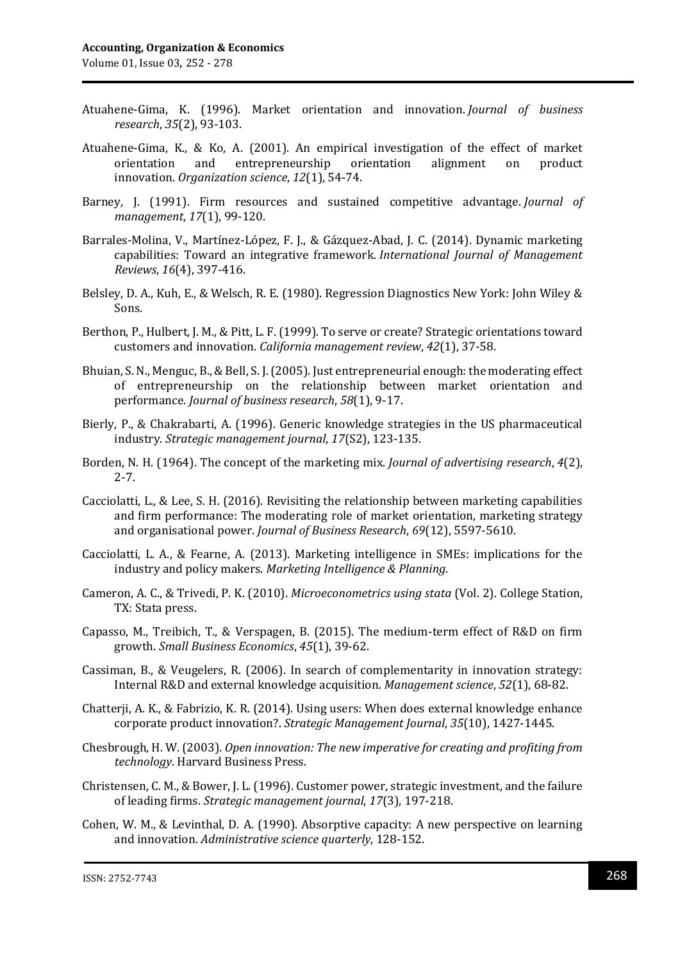- Atuahene-Gima, K. (1996). Market orientation and innovation. *Journal of business research*, *35*(2), 93-103.
- Atuahene-Gima, K., & Ko, A. (2001). An empirical investigation of the effect of market orientation and entrepreneurship orientation alignment on product innovation. *Organization science*, *12*(1), 54-74.
- Barney, J. (1991). Firm resources and sustained competitive advantage. *Journal of management*, *17*(1), 99-120.
- Barrales‐Molina, V., Martínez‐López, F. J., & Gázquez‐Abad, J. C. (2014). Dynamic marketing capabilities: Toward an integrative framework. *International Journal of Management Reviews*, *16*(4), 397-416.
- Belsley, D. A., Kuh, E., & Welsch, R. E. (1980). Regression Diagnostics New York: John Wiley & Sons.
- Berthon, P., Hulbert, J. M., & Pitt, L. F. (1999). To serve or create? Strategic orientations toward customers and innovation. *California management review*, *42*(1), 37-58.
- Bhuian, S. N., Menguc, B., & Bell, S. J. (2005). Just entrepreneurial enough: the moderating effect of entrepreneurship on the relationship between market orientation and performance. *Journal of business research*, *58*(1), 9-17.
- Bierly, P., & Chakrabarti, A. (1996). Generic knowledge strategies in the US pharmaceutical industry. *Strategic management journal*, *17*(S2), 123-135.
- Borden, N. H. (1964). The concept of the marketing mix. *Journal of advertising research*, *4*(2), 2-7.
- Cacciolatti, L., & Lee, S. H. (2016). Revisiting the relationship between marketing capabilities and firm performance: The moderating role of market orientation, marketing strategy and organisational power. *Journal of Business Research*, *69*(12), 5597-5610.
- Cacciolatti, L. A., & Fearne, A. (2013). Marketing intelligence in SMEs: implications for the industry and policy makers. *Marketing Intelligence & Planning*.
- Cameron, A. C., & Trivedi, P. K. (2010). *Microeconometrics using stata* (Vol. 2). College Station, TX: Stata press.
- Capasso, M., Treibich, T., & Verspagen, B. (2015). The medium-term effect of R&D on firm growth. *Small Business Economics*, *45*(1), 39-62.
- Cassiman, B., & Veugelers, R. (2006). In search of complementarity in innovation strategy: Internal R&D and external knowledge acquisition. *Management science*, *52*(1), 68-82.
- Chatterji, A. K., & Fabrizio, K. R. (2014). Using users: When does external knowledge enhance corporate product innovation?. *Strategic Management Journal*, *35*(10), 1427-1445.
- Chesbrough, H. W. (2003). *Open innovation: The new imperative for creating and profiting from technology*. Harvard Business Press.
- Christensen, C. M., & Bower, J. L. (1996). Customer power, strategic investment, and the failure of leading firms. *Strategic management journal*, *17*(3), 197-218.
- Cohen, W. M., & Levinthal, D. A. (1990). Absorptive capacity: A new perspective on learning and innovation. *Administrative science quarterly*, 128-152.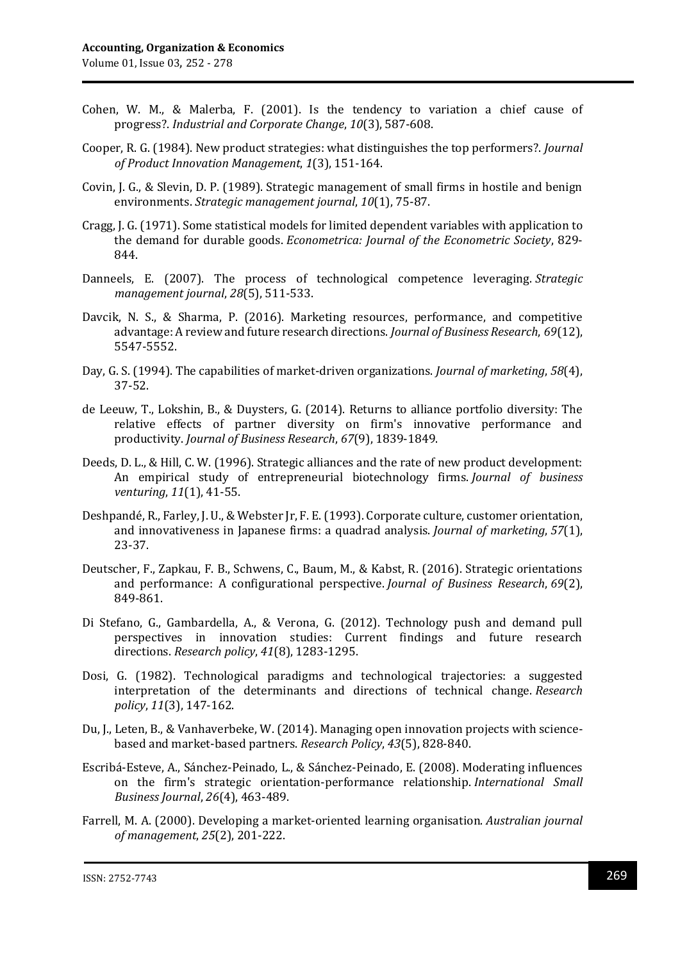- Cohen, W. M., & Malerba, F. (2001). Is the tendency to variation a chief cause of progress?. *Industrial and Corporate Change*, *10*(3), 587-608.
- Cooper, R. G. (1984). New product strategies: what distinguishes the top performers?. *Journal of Product Innovation Management*, *1*(3), 151-164.
- Covin, J. G., & Slevin, D. P. (1989). Strategic management of small firms in hostile and benign environments. *Strategic management journal*, *10*(1), 75-87.
- Cragg, J. G. (1971). Some statistical models for limited dependent variables with application to the demand for durable goods. *Econometrica: Journal of the Econometric Society*, 829- 844.
- Danneels, E. (2007). The process of technological competence leveraging. *Strategic management journal*, *28*(5), 511-533.
- Davcik, N. S., & Sharma, P. (2016). Marketing resources, performance, and competitive advantage: A review and future research directions. *Journal of Business Research*, *69*(12), 5547-5552.
- Day, G. S. (1994). The capabilities of market-driven organizations. *Journal of marketing*, *58*(4), 37-52.
- de Leeuw, T., Lokshin, B., & Duysters, G. (2014). Returns to alliance portfolio diversity: The relative effects of partner diversity on firm's innovative performance and productivity. *Journal of Business Research*, *67*(9), 1839-1849.
- Deeds, D. L., & Hill, C. W. (1996). Strategic alliances and the rate of new product development: An empirical study of entrepreneurial biotechnology firms. *Journal of business venturing*, *11*(1), 41-55.
- Deshpandé, R., Farley, J. U., & Webster Jr, F. E. (1993). Corporate culture, customer orientation, and innovativeness in Japanese firms: a quadrad analysis. *Journal of marketing*, *57*(1), 23-37.
- Deutscher, F., Zapkau, F. B., Schwens, C., Baum, M., & Kabst, R. (2016). Strategic orientations and performance: A configurational perspective. *Journal of Business Research*, *69*(2), 849-861.
- Di Stefano, G., Gambardella, A., & Verona, G. (2012). Technology push and demand pull perspectives in innovation studies: Current findings and future research directions. *Research policy*, *41*(8), 1283-1295.
- Dosi, G. (1982). Technological paradigms and technological trajectories: a suggested interpretation of the determinants and directions of technical change. *Research policy*, *11*(3), 147-162.
- Du, J., Leten, B., & Vanhaverbeke, W. (2014). Managing open innovation projects with sciencebased and market-based partners. *Research Policy*, *43*(5), 828-840.
- Escribá-Esteve, A., Sánchez-Peinado, L., & Sánchez-Peinado, E. (2008). Moderating influences on the firm's strategic orientation-performance relationship. *International Small Business Journal*, *26*(4), 463-489.
- Farrell, M. A. (2000). Developing a market‐oriented learning organisation. *Australian journal of management*, *25*(2), 201-222.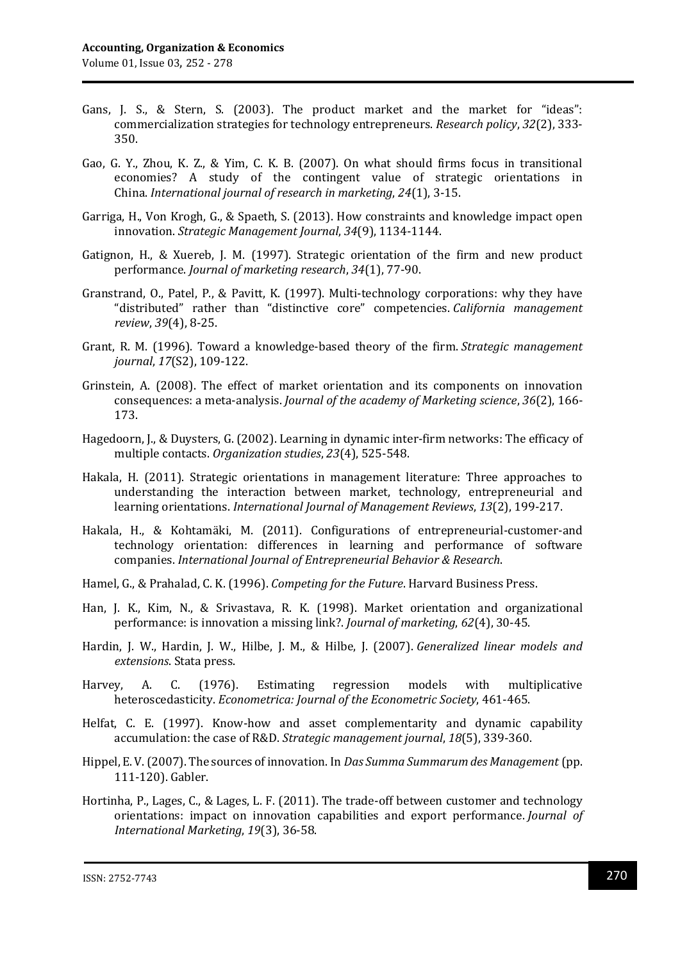- Gans, J. S., & Stern, S. (2003). The product market and the market for "ideas": commercialization strategies for technology entrepreneurs. *Research policy*, *32*(2), 333- 350.
- Gao, G. Y., Zhou, K. Z., & Yim, C. K. B. (2007). On what should firms focus in transitional economies? A study of the contingent value of strategic orientations in China. *International journal of research in marketing*, *24*(1), 3-15.
- Garriga, H., Von Krogh, G., & Spaeth, S. (2013). How constraints and knowledge impact open innovation. *Strategic Management Journal*, *34*(9), 1134-1144.
- Gatignon, H., & Xuereb, J. M. (1997). Strategic orientation of the firm and new product performance. *Journal of marketing research*, *34*(1), 77-90.
- Granstrand, O., Patel, P., & Pavitt, K. (1997). Multi-technology corporations: why they have "distributed" rather than "distinctive core" competencies. *California management review*, *39*(4), 8-25.
- Grant, R. M. (1996). Toward a knowledge‐based theory of the firm. *Strategic management journal*, *17*(S2), 109-122.
- Grinstein, A. (2008). The effect of market orientation and its components on innovation consequences: a meta-analysis. *Journal of the academy of Marketing science*, *36*(2), 166- 173.
- Hagedoorn, J., & Duysters, G. (2002). Learning in dynamic inter-firm networks: The efficacy of multiple contacts. *Organization studies*, *23*(4), 525-548.
- Hakala, H. (2011). Strategic orientations in management literature: Three approaches to understanding the interaction between market, technology, entrepreneurial and learning orientations. *International Journal of Management Reviews*, *13*(2), 199-217.
- Hakala, H., & Kohtamäki, M. (2011). Configurations of entrepreneurial-customer-and technology orientation: differences in learning and performance of software companies. *International Journal of Entrepreneurial Behavior & Research*.
- Hamel, G., & Prahalad, C. K. (1996). *Competing for the Future*. Harvard Business Press.
- Han, J. K., Kim, N., & Srivastava, R. K. (1998). Market orientation and organizational performance: is innovation a missing link?. *Journal of marketing*, *62*(4), 30-45.
- Hardin, J. W., Hardin, J. W., Hilbe, J. M., & Hilbe, J. (2007). *Generalized linear models and extensions*. Stata press.
- Harvey, A. C. (1976). Estimating regression models with multiplicative heteroscedasticity. *Econometrica: Journal of the Econometric Society*, 461-465.
- Helfat, C. E. (1997). Know‐how and asset complementarity and dynamic capability accumulation: the case of R&D. *Strategic management journal*, *18*(5), 339-360.
- Hippel, E. V. (2007). The sources of innovation. In *Das Summa Summarum des Management* (pp. 111-120). Gabler.
- Hortinha, P., Lages, C., & Lages, L. F. (2011). The trade-off between customer and technology orientations: impact on innovation capabilities and export performance. *Journal of International Marketing*, *19*(3), 36-58.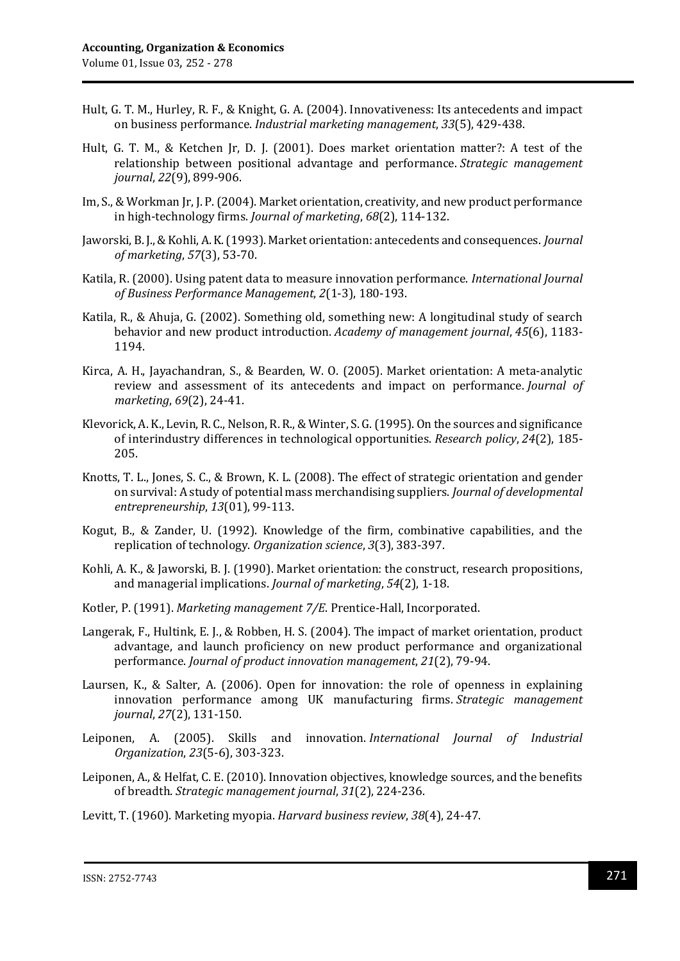- Hult, G. T. M., Hurley, R. F., & Knight, G. A. (2004). Innovativeness: Its antecedents and impact on business performance. *Industrial marketing management*, *33*(5), 429-438.
- Hult, G. T. M., & Ketchen Jr, D. J. (2001). Does market orientation matter?: A test of the relationship between positional advantage and performance. *Strategic management journal*, *22*(9), 899-906.
- Im, S., & Workman Jr, J. P. (2004). Market orientation, creativity, and new product performance in high-technology firms. *Journal of marketing*, *68*(2), 114-132.
- Jaworski, B. J., & Kohli, A. K. (1993). Market orientation: antecedents and consequences. *Journal of marketing*, *57*(3), 53-70.
- Katila, R. (2000). Using patent data to measure innovation performance. *International Journal of Business Performance Management*, *2*(1-3), 180-193.
- Katila, R., & Ahuja, G. (2002). Something old, something new: A longitudinal study of search behavior and new product introduction. *Academy of management journal*, *45*(6), 1183- 1194.
- Kirca, A. H., Jayachandran, S., & Bearden, W. O. (2005). Market orientation: A meta-analytic review and assessment of its antecedents and impact on performance. *Journal of marketing*, *69*(2), 24-41.
- Klevorick, A. K., Levin, R. C., Nelson, R. R., & Winter, S. G. (1995). On the sources and significance of interindustry differences in technological opportunities. *Research policy*, *24*(2), 185- 205.
- Knotts, T. L., Jones, S. C., & Brown, K. L. (2008). The effect of strategic orientation and gender on survival: A study of potential mass merchandising suppliers. *Journal of developmental entrepreneurship*, *13*(01), 99-113.
- Kogut, B., & Zander, U. (1992). Knowledge of the firm, combinative capabilities, and the replication of technology. *Organization science*, *3*(3), 383-397.
- Kohli, A. K., & Jaworski, B. J. (1990). Market orientation: the construct, research propositions, and managerial implications. *Journal of marketing*, *54*(2), 1-18.
- Kotler, P. (1991). *Marketing management 7/E*. Prentice-Hall, Incorporated.
- Langerak, F., Hultink, E. J., & Robben, H. S. (2004). The impact of market orientation, product advantage, and launch proficiency on new product performance and organizational performance. *Journal of product innovation management*, *21*(2), 79-94.
- Laursen, K., & Salter, A. (2006). Open for innovation: the role of openness in explaining innovation performance among UK manufacturing firms. *Strategic management journal*, *27*(2), 131-150.
- Leiponen, A. (2005). Skills and innovation. *International Journal of Industrial Organization*, *23*(5-6), 303-323.
- Leiponen, A., & Helfat, C. E. (2010). Innovation objectives, knowledge sources, and the benefits of breadth. *Strategic management journal*, *31*(2), 224-236.
- Levitt, T. (1960). Marketing myopia. *Harvard business review*, *38*(4), 24-47.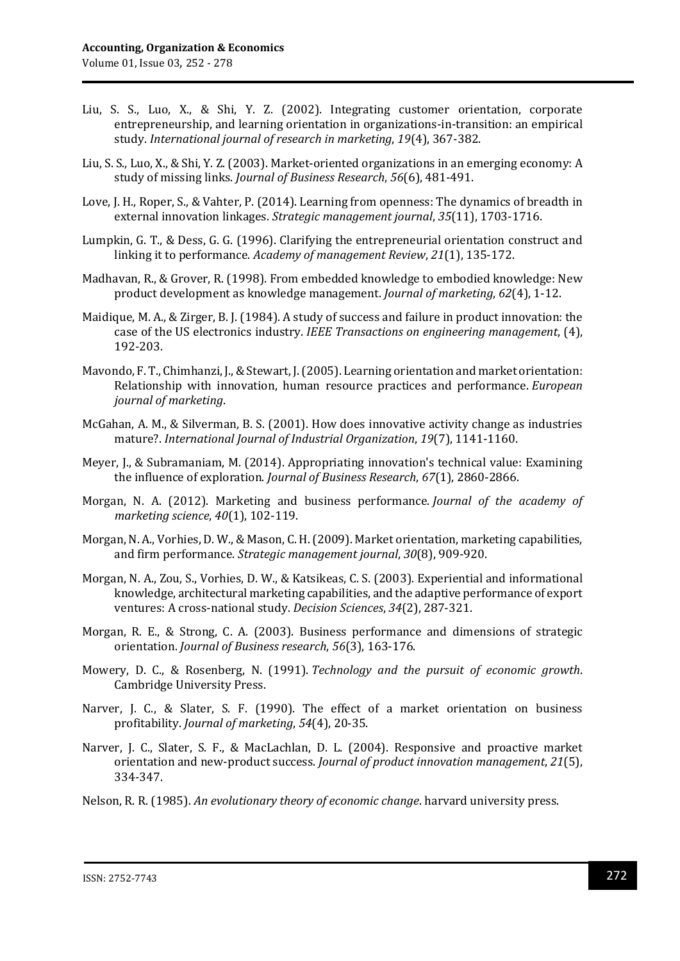- Liu, S. S., Luo, X., & Shi, Y. Z. (2002). Integrating customer orientation, corporate entrepreneurship, and learning orientation in organizations-in-transition: an empirical study. *International journal of research in marketing*, *19*(4), 367-382.
- Liu, S. S., Luo, X., & Shi, Y. Z. (2003). Market-oriented organizations in an emerging economy: A study of missing links. *Journal of Business Research*, *56*(6), 481-491.
- Love, J. H., Roper, S., & Vahter, P. (2014). Learning from openness: The dynamics of breadth in external innovation linkages. *Strategic management journal*, *35*(11), 1703-1716.
- Lumpkin, G. T., & Dess, G. G. (1996). Clarifying the entrepreneurial orientation construct and linking it to performance. *Academy of management Review*, *21*(1), 135-172.
- Madhavan, R., & Grover, R. (1998). From embedded knowledge to embodied knowledge: New product development as knowledge management. *Journal of marketing*, *62*(4), 1-12.
- Maidique, M. A., & Zirger, B. J. (1984). A study of success and failure in product innovation: the case of the US electronics industry. *IEEE Transactions on engineering management*, (4), 192-203.
- Mavondo, F. T., Chimhanzi, J., & Stewart, J. (2005). Learning orientation and market orientation: Relationship with innovation, human resource practices and performance. *European journal of marketing*.
- McGahan, A. M., & Silverman, B. S. (2001). How does innovative activity change as industries mature?. *International Journal of Industrial Organization*, *19*(7), 1141-1160.
- Meyer, J., & Subramaniam, M. (2014). Appropriating innovation's technical value: Examining the influence of exploration. *Journal of Business Research*, *67*(1), 2860-2866.
- Morgan, N. A. (2012). Marketing and business performance. *Journal of the academy of marketing science*, *40*(1), 102-119.
- Morgan, N. A., Vorhies, D. W., & Mason, C. H. (2009). Market orientation, marketing capabilities, and firm performance. *Strategic management journal*, *30*(8), 909-920.
- Morgan, N. A., Zou, S., Vorhies, D. W., & Katsikeas, C. S. (2003). Experiential and informational knowledge, architectural marketing capabilities, and the adaptive performance of export ventures: A cross‐national study. *Decision Sciences*, *34*(2), 287-321.
- Morgan, R. E., & Strong, C. A. (2003). Business performance and dimensions of strategic orientation. *Journal of Business research*, *56*(3), 163-176.
- Mowery, D. C., & Rosenberg, N. (1991). *Technology and the pursuit of economic growth*. Cambridge University Press.
- Narver, J. C., & Slater, S. F. (1990). The effect of a market orientation on business profitability. *Journal of marketing*, *54*(4), 20-35.
- Narver, J. C., Slater, S. F., & MacLachlan, D. L. (2004). Responsive and proactive market orientation and new‐product success. *Journal of product innovation management*, *21*(5), 334-347.
- Nelson, R. R. (1985). *An evolutionary theory of economic change*. harvard university press.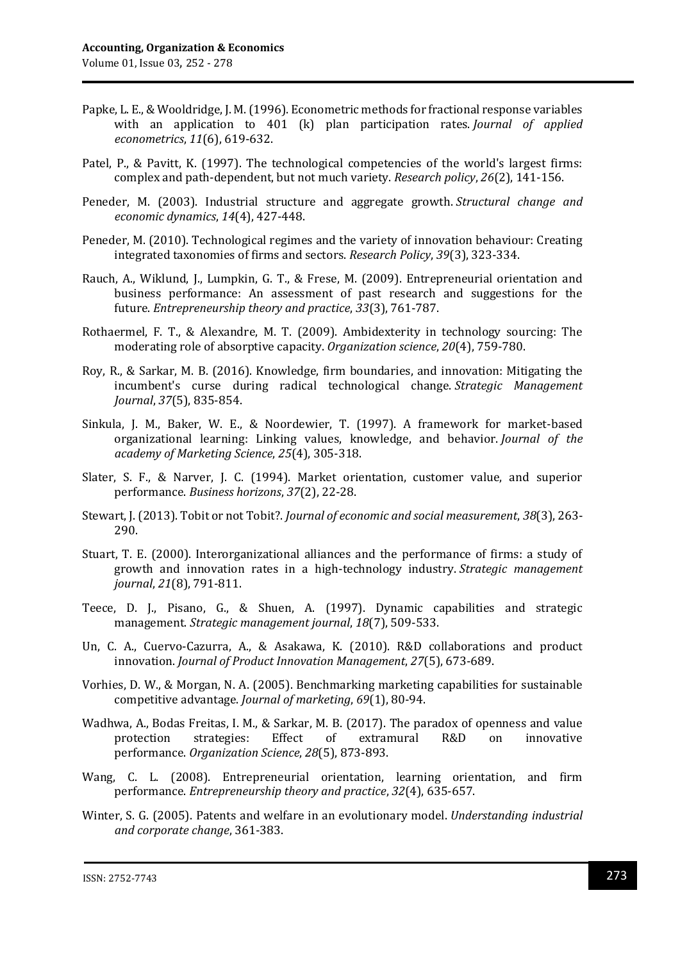- Papke, L. E., & Wooldridge, J. M. (1996). Econometric methods for fractional response variables with an application to 401 (k) plan participation rates. *Journal of applied econometrics*, *11*(6), 619-632.
- Patel, P., & Pavitt, K. (1997). The technological competencies of the world's largest firms: complex and path-dependent, but not much variety. *Research policy*, *26*(2), 141-156.
- Peneder, M. (2003). Industrial structure and aggregate growth. *Structural change and economic dynamics*, *14*(4), 427-448.
- Peneder, M. (2010). Technological regimes and the variety of innovation behaviour: Creating integrated taxonomies of firms and sectors. *Research Policy*, *39*(3), 323-334.
- Rauch, A., Wiklund, J., Lumpkin, G. T., & Frese, M. (2009). Entrepreneurial orientation and business performance: An assessment of past research and suggestions for the future. *Entrepreneurship theory and practice*, *33*(3), 761-787.
- Rothaermel, F. T., & Alexandre, M. T. (2009). Ambidexterity in technology sourcing: The moderating role of absorptive capacity. *Organization science*, *20*(4), 759-780.
- Roy, R., & Sarkar, M. B. (2016). Knowledge, firm boundaries, and innovation: Mitigating the incumbent's curse during radical technological change. *Strategic Management Journal*, *37*(5), 835-854.
- Sinkula, J. M., Baker, W. E., & Noordewier, T. (1997). A framework for market-based organizational learning: Linking values, knowledge, and behavior. *Journal of the academy of Marketing Science*, *25*(4), 305-318.
- Slater, S. F., & Narver, J. C. (1994). Market orientation, customer value, and superior performance. *Business horizons*, *37*(2), 22-28.
- Stewart, J. (2013). Tobit or not Tobit?. *Journal of economic and social measurement*, *38*(3), 263- 290.
- Stuart, T. E. (2000). Interorganizational alliances and the performance of firms: a study of growth and innovation rates in a high‐technology industry. *Strategic management journal*, *21*(8), 791-811.
- Teece, D. J., Pisano, G., & Shuen, A. (1997). Dynamic capabilities and strategic management. *Strategic management journal*, *18*(7), 509-533.
- Un, C. A., Cuervo‐Cazurra, A., & Asakawa, K. (2010). R&D collaborations and product innovation. *Journal of Product Innovation Management*, *27*(5), 673-689.
- Vorhies, D. W., & Morgan, N. A. (2005). Benchmarking marketing capabilities for sustainable competitive advantage. *Journal of marketing*, *69*(1), 80-94.
- Wadhwa, A., Bodas Freitas, I. M., & Sarkar, M. B. (2017). The paradox of openness and value protection strategies: Effect of extramural R&D on innovative performance. *Organization Science*, *28*(5), 873-893.
- Wang, C. L. (2008). Entrepreneurial orientation, learning orientation, and firm performance. *Entrepreneurship theory and practice*, *32*(4), 635-657.
- Winter, S. G. (2005). Patents and welfare in an evolutionary model. *Understanding industrial and corporate change*, 361-383.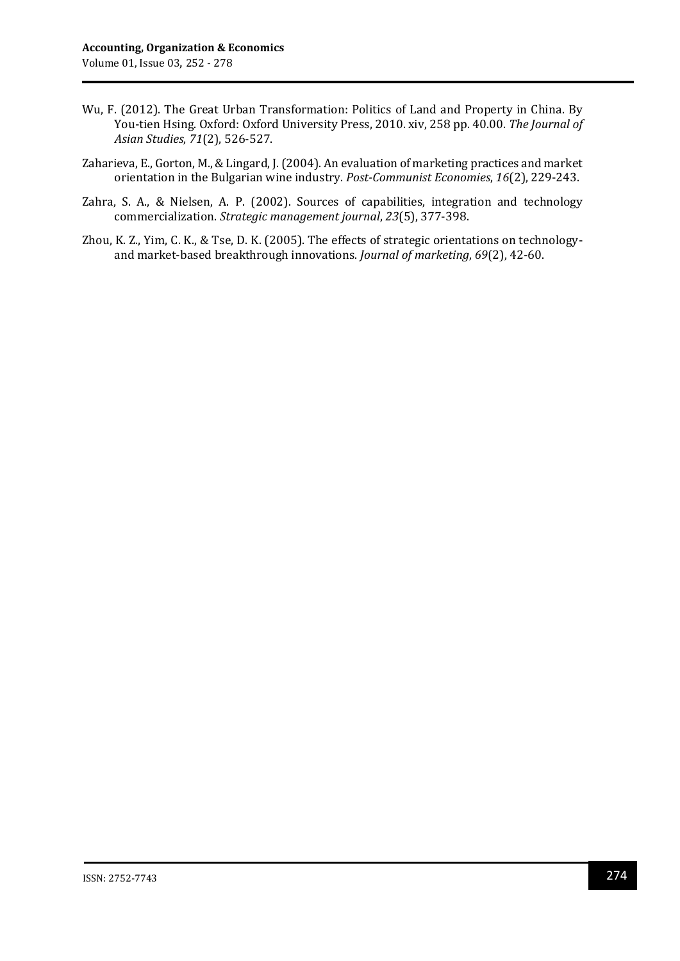- Wu, F. (2012). The Great Urban Transformation: Politics of Land and Property in China. By You-tien Hsing. Oxford: Oxford University Press, 2010. xiv, 258 pp. 40.00. *The Journal of Asian Studies*, *71*(2), 526-527.
- Zaharieva, E., Gorton, M., & Lingard, J. (2004). An evaluation of marketing practices and market orientation in the Bulgarian wine industry. *Post-Communist Economies*, *16*(2), 229-243.
- Zahra, S. A., & Nielsen, A. P. (2002). Sources of capabilities, integration and technology commercialization. *Strategic management journal*, *23*(5), 377-398.
- Zhou, K. Z., Yim, C. K., & Tse, D. K. (2005). The effects of strategic orientations on technologyand market-based breakthrough innovations. *Journal of marketing*, *69*(2), 42-60.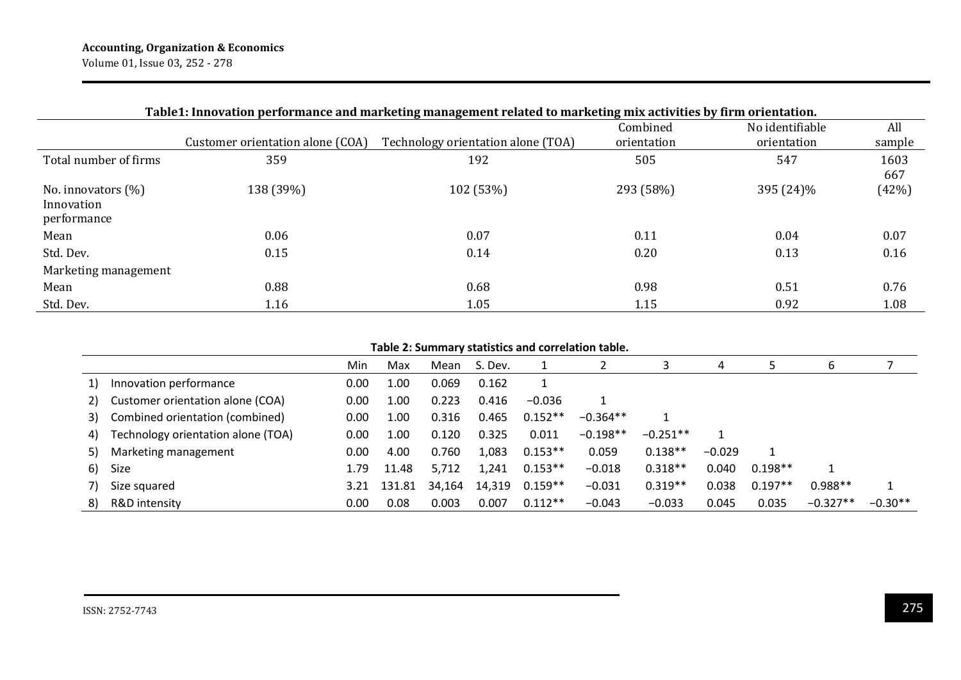| Table1: Innovation performance and marketing management related to marketing mix activities by firm orientation. |                                  |                                    |                         |                                |               |  |  |  |  |
|------------------------------------------------------------------------------------------------------------------|----------------------------------|------------------------------------|-------------------------|--------------------------------|---------------|--|--|--|--|
|                                                                                                                  | Customer orientation alone (COA) | Technology orientation alone (TOA) | Combined<br>orientation | No identifiable<br>orientation | All<br>sample |  |  |  |  |
| Total number of firms                                                                                            | 359                              | 192                                | 505                     | 547                            | 1603<br>667   |  |  |  |  |
| No. innovators $(\%)$<br>Innovation<br>performance                                                               | 138 (39%)                        | 102 (53%)                          | 293 (58%)               | 395 (24)%                      | (42%)         |  |  |  |  |
| Mean                                                                                                             | 0.06                             | 0.07                               | 0.11                    | 0.04                           | 0.07          |  |  |  |  |
| Std. Dev.<br>Marketing management                                                                                | 0.15                             | 0.14                               | 0.20                    | 0.13                           | 0.16          |  |  |  |  |
| Mean                                                                                                             | 0.88                             | 0.68                               | 0.98                    | 0.51                           | 0.76          |  |  |  |  |
| Std. Dev.                                                                                                        | 1.16                             | 1.05                               | 1.15                    | 0.92                           | 1.08          |  |  |  |  |

#### **Table 2: Summary statistics and correlation table.**

|    |                                     | Min  | Max    | Mean   | S. Dev. |           |            |            | 4        |           | ь          |           |
|----|-------------------------------------|------|--------|--------|---------|-----------|------------|------------|----------|-----------|------------|-----------|
| 1) | Innovation performance              | 0.00 | 1.00   | 0.069  | 0.162   |           |            |            |          |           |            |           |
|    | 2) Customer orientation alone (COA) | 0.00 | 1.00   | 0.223  | 0.416   | $-0.036$  |            |            |          |           |            |           |
|    | 3) Combined orientation (combined)  | 0.00 | 1.00   | 0.316  | 0.465   | $0.152**$ | $-0.364**$ |            |          |           |            |           |
| 4) | Technology orientation alone (TOA)  | 0.00 | 1.00   | 0.120  | 0.325   | 0.011     | $-0.198**$ | $-0.251**$ |          |           |            |           |
| 5) | Marketing management                | 0.00 | 4.00   | 0.760  | 1,083   | $0.153**$ | 0.059      | $0.138**$  | $-0.029$ |           |            |           |
| 6) | Size                                | 1.79 | 11.48  | 5,712  | 1,241   | $0.153**$ | $-0.018$   | $0.318**$  | 0.040    | $0.198**$ |            |           |
| 7) | Size squared                        | 3.21 | 131.81 | 34,164 | 14,319  | $0.159**$ | $-0.031$   | $0.319**$  | 0.038    | $0.197**$ | $0.988**$  |           |
| 8) | R&D intensity                       | 0.00 | 0.08   | 0.003  | 0.007   | $0.112**$ | $-0.043$   | $-0.033$   | 0.045    | 0.035     | $-0.327**$ | $-0.30**$ |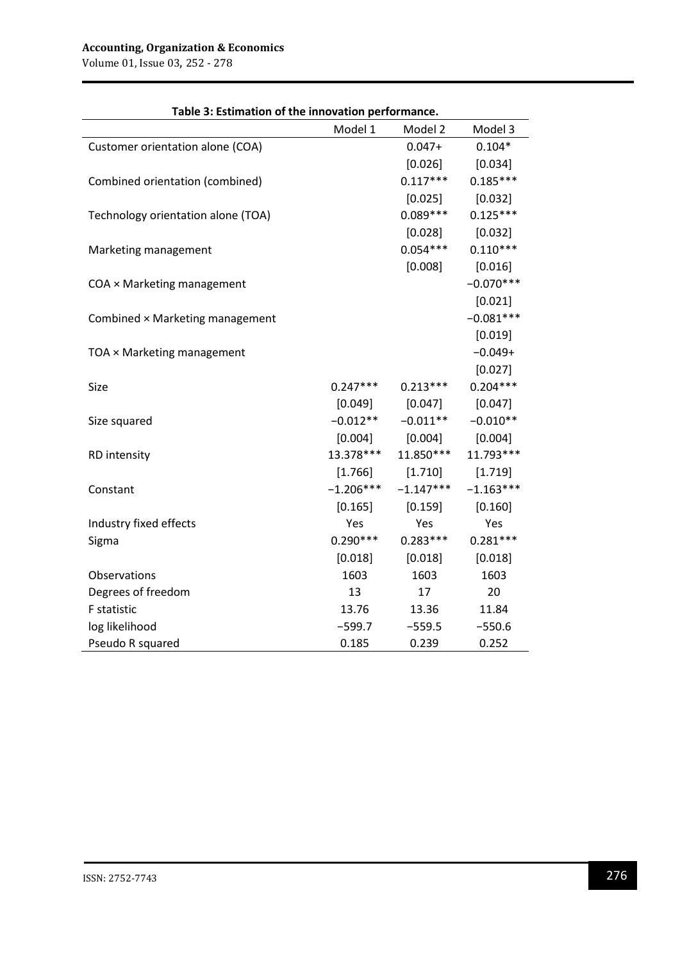# **Accounting, Organization & Economics**

Volume 01, Issue 03, 252 - 278

| rable 3: Estimation of the innovation performance. |             |             |             |  |  |  |  |
|----------------------------------------------------|-------------|-------------|-------------|--|--|--|--|
|                                                    | Model 1     | Model 2     | Model 3     |  |  |  |  |
| Customer orientation alone (COA)                   |             | $0.047 +$   | $0.104*$    |  |  |  |  |
|                                                    |             | [0.026]     | [0.034]     |  |  |  |  |
| Combined orientation (combined)                    |             | $0.117***$  | $0.185***$  |  |  |  |  |
|                                                    |             | [0.025]     | [0.032]     |  |  |  |  |
| Technology orientation alone (TOA)                 |             | $0.089***$  | $0.125***$  |  |  |  |  |
|                                                    |             | [0.028]     | [0.032]     |  |  |  |  |
| Marketing management                               |             | $0.054***$  | $0.110***$  |  |  |  |  |
|                                                    |             | [0.008]     | [0.016]     |  |  |  |  |
| COA × Marketing management                         |             |             | $-0.070***$ |  |  |  |  |
|                                                    |             |             | [0.021]     |  |  |  |  |
| Combined × Marketing management                    |             |             | $-0.081***$ |  |  |  |  |
|                                                    |             |             | [0.019]     |  |  |  |  |
| TOA × Marketing management                         |             |             | $-0.049+$   |  |  |  |  |
|                                                    |             |             | [0.027]     |  |  |  |  |
| Size                                               | $0.247***$  | $0.213***$  | $0.204***$  |  |  |  |  |
|                                                    | [0.049]     | [0.047]     | [0.047]     |  |  |  |  |
| Size squared                                       | $-0.012**$  | $-0.011**$  | $-0.010**$  |  |  |  |  |
|                                                    | [0.004]     | [0.004]     | [0.004]     |  |  |  |  |
| RD intensity                                       | 13.378***   | $11.850***$ | 11.793 ***  |  |  |  |  |
|                                                    | $[1.766]$   | [1.710]     | [1.719]     |  |  |  |  |
| Constant                                           | $-1.206***$ | $-1.147***$ | $-1.163***$ |  |  |  |  |
|                                                    | [0.165]     | [0.159]     | [0.160]     |  |  |  |  |
| Industry fixed effects                             | Yes         | Yes         | Yes         |  |  |  |  |
| Sigma                                              | $0.290***$  | $0.283***$  | $0.281***$  |  |  |  |  |
|                                                    | [0.018]     | [0.018]     | [0.018]     |  |  |  |  |
| Observations                                       | 1603        | 1603        | 1603        |  |  |  |  |
| Degrees of freedom                                 | 13          | 17          | 20          |  |  |  |  |
| F statistic                                        | 13.76       | 13.36       | 11.84       |  |  |  |  |
| log likelihood                                     | $-599.7$    | $-559.5$    | $-550.6$    |  |  |  |  |
| Pseudo R squared                                   | 0.185       | 0.239       | 0.252       |  |  |  |  |

# **Table 3: Estimation of the innovation performance.**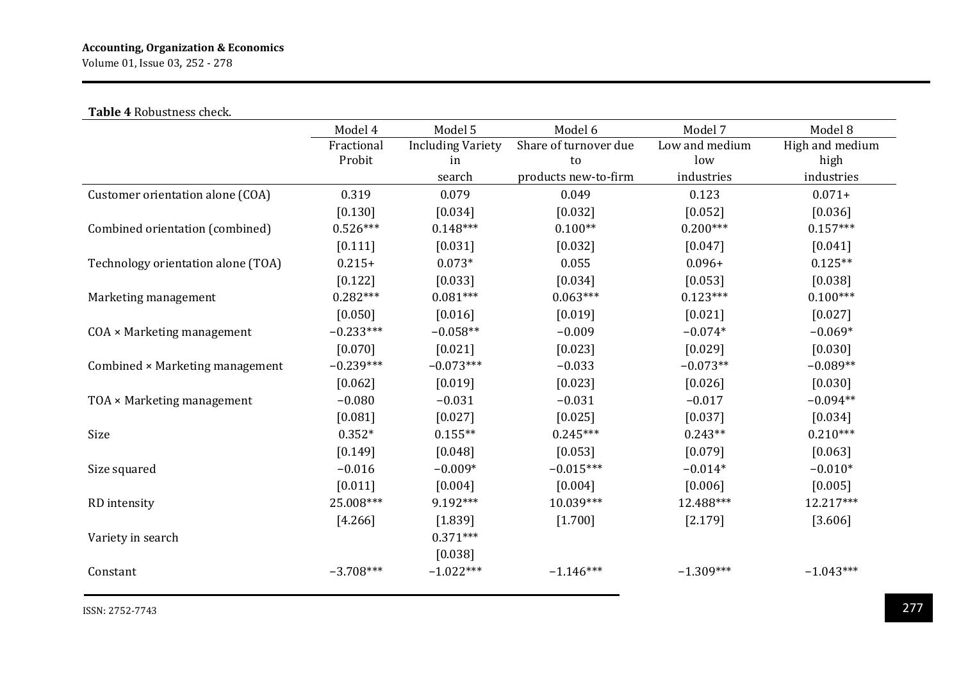Volume 01, Issue 03, 252 - 278

# **Table 4** Robustness check.

|                                    | Model 4     | Model 5                  | Model 6               | Model 7        | Model 8         |
|------------------------------------|-------------|--------------------------|-----------------------|----------------|-----------------|
|                                    | Fractional  | <b>Including Variety</b> | Share of turnover due | Low and medium | High and medium |
|                                    | Probit      | in                       | to                    | low            | high            |
|                                    |             | search                   | products new-to-firm  | industries     | industries      |
| Customer orientation alone (COA)   | 0.319       | 0.079                    | 0.049                 | 0.123          | $0.071+$        |
|                                    | [0.130]     | [0.034]                  | [0.032]               | [0.052]        | [0.036]         |
| Combined orientation (combined)    | $0.526***$  | $0.148***$               | $0.100**$             | $0.200***$     | $0.157***$      |
|                                    | [0.111]     | [0.031]                  | [0.032]               | [0.047]        | [0.041]         |
| Technology orientation alone (TOA) | $0.215+$    | $0.073*$                 | 0.055                 | $0.096+$       | $0.125**$       |
|                                    | [0.122]     | [0.033]                  | [0.034]               | [0.053]        | [0.038]         |
| Marketing management               | $0.282***$  | $0.081***$               | $0.063***$            | $0.123***$     | $0.100***$      |
|                                    | [0.050]     | [0.016]                  | [0.019]               | [0.021]        | [0.027]         |
| $COA \times$ Marketing management  | $-0.233***$ | $-0.058**$               | $-0.009$              | $-0.074*$      | $-0.069*$       |
|                                    | [0.070]     | [0.021]                  | [0.023]               | [0.029]        | [0.030]         |
| Combined × Marketing management    | $-0.239***$ | $-0.073***$              | $-0.033$              | $-0.073**$     | $-0.089**$      |
|                                    | [0.062]     | [0.019]                  | [0.023]               | [0.026]        | [0.030]         |
| TOA × Marketing management         | $-0.080$    | $-0.031$                 | $-0.031$              | $-0.017$       | $-0.094**$      |
|                                    | [0.081]     | [0.027]                  | [0.025]               | [0.037]        | [0.034]         |
| Size                               | $0.352*$    | $0.155**$                | $0.245***$            | $0.243**$      | $0.210***$      |
|                                    | [0.149]     | [0.048]                  | [0.053]               | [0.079]        | [0.063]         |
| Size squared                       | $-0.016$    | $-0.009*$                | $-0.015***$           | $-0.014*$      | $-0.010*$       |
|                                    | [0.011]     | [0.004]                  | [0.004]               | [0.006]        | [0.005]         |
| RD intensity                       | 25.008***   | 9.192***                 | 10.039***             | 12.488***      | 12.217***       |
|                                    | [4.266]     | [1.839]                  | [1.700]               | [2.179]        | [3.606]         |
| Variety in search                  |             | $0.371***$               |                       |                |                 |
|                                    |             | [0.038]                  |                       |                |                 |
| Constant                           | $-3.708***$ | $-1.022***$              | $-1.146***$           | $-1.309***$    | $-1.043***$     |